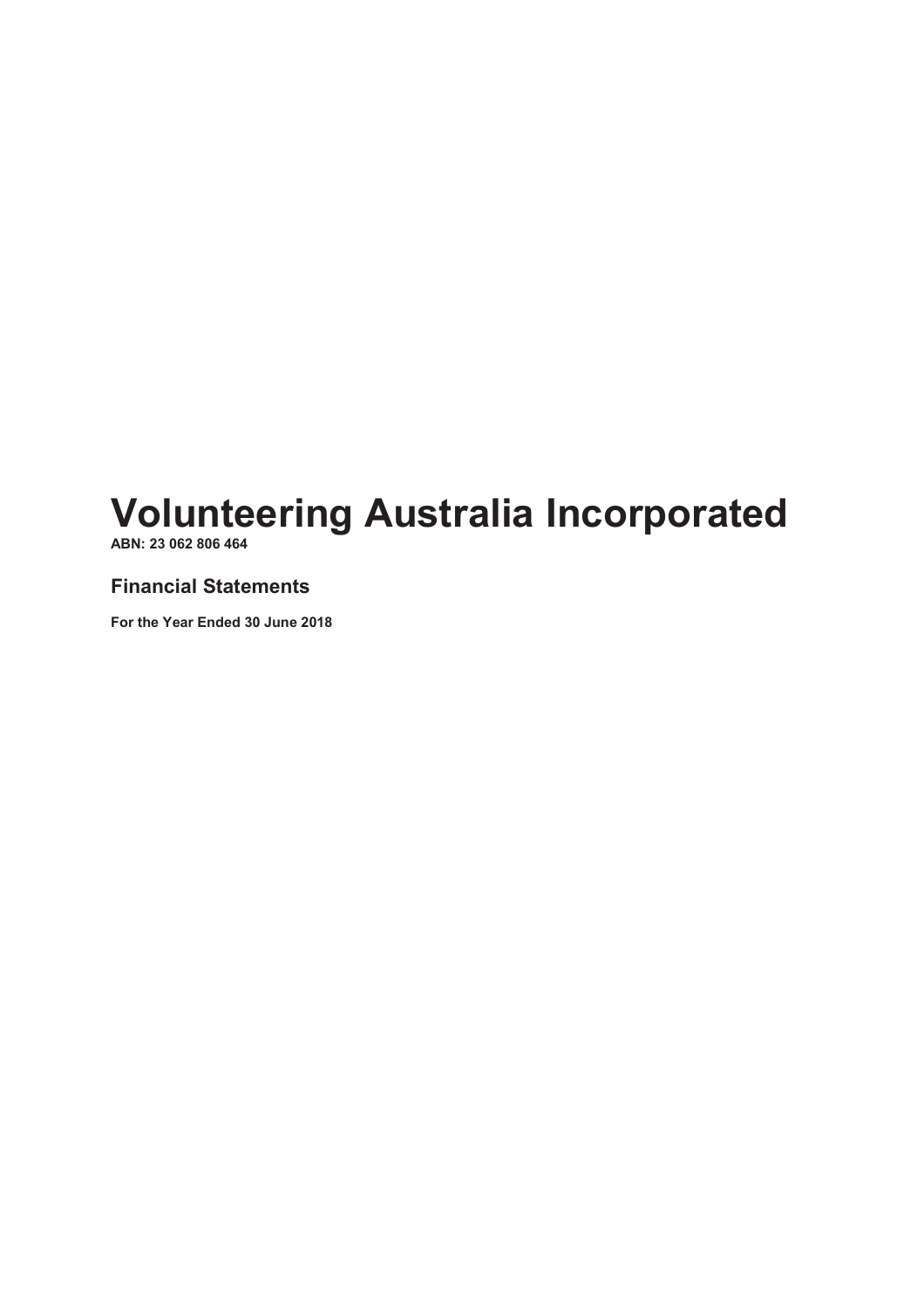ABN: 23 062 806 464

## Financial Statements

For the Year Ended 30 June 2018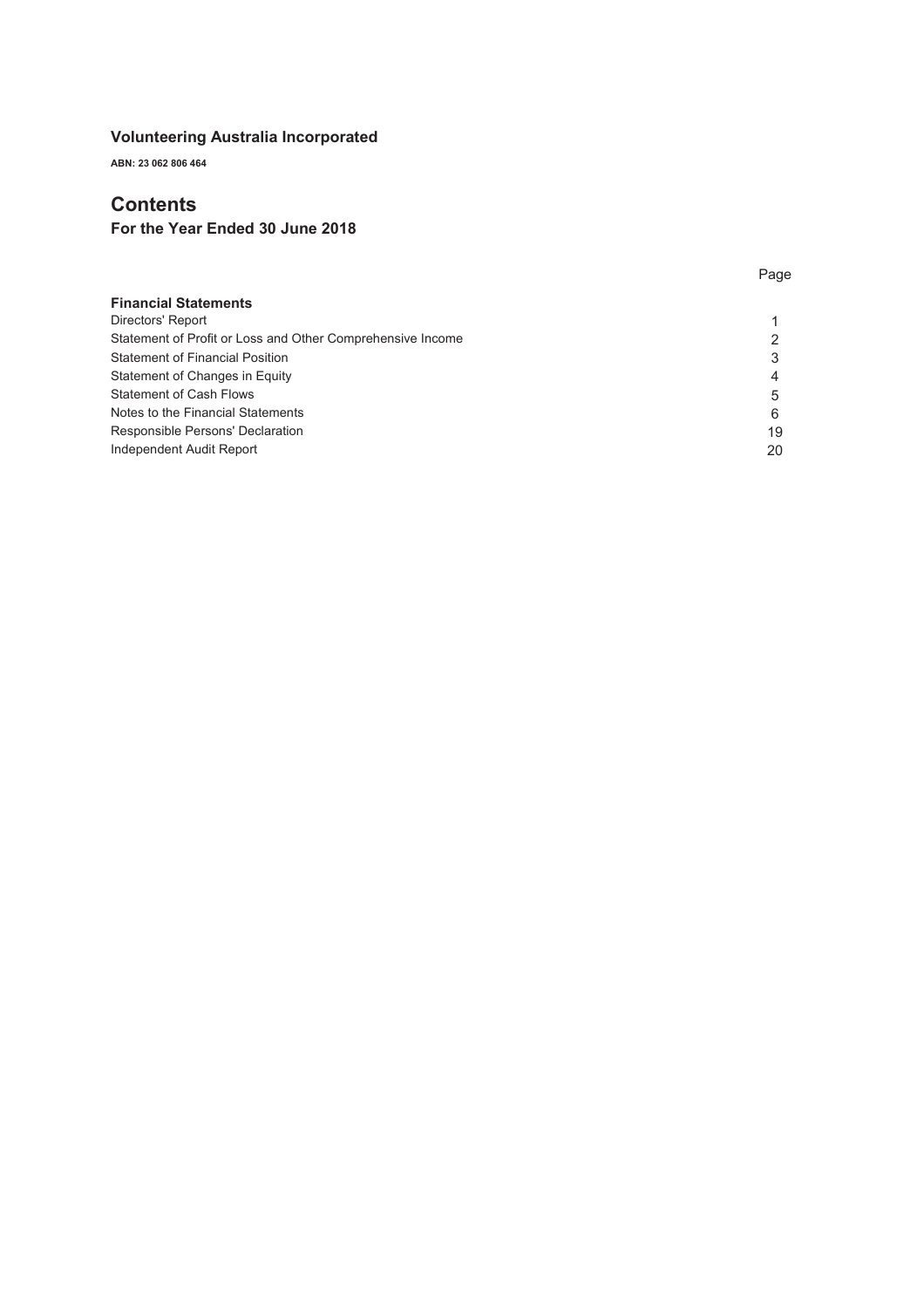ABN: 23 062 806 464

## **Contents**

## For the Year Ended 30 June 2018

| <b>Financial Statements</b>                                |    |
|------------------------------------------------------------|----|
| Directors' Report                                          |    |
| Statement of Profit or Loss and Other Comprehensive Income |    |
| <b>Statement of Financial Position</b>                     |    |
| Statement of Changes in Equity                             |    |
| <b>Statement of Cash Flows</b>                             | 5  |
| Notes to the Financial Statements                          | 6  |
| Responsible Persons' Declaration                           | 19 |
| Independent Audit Report                                   | 20 |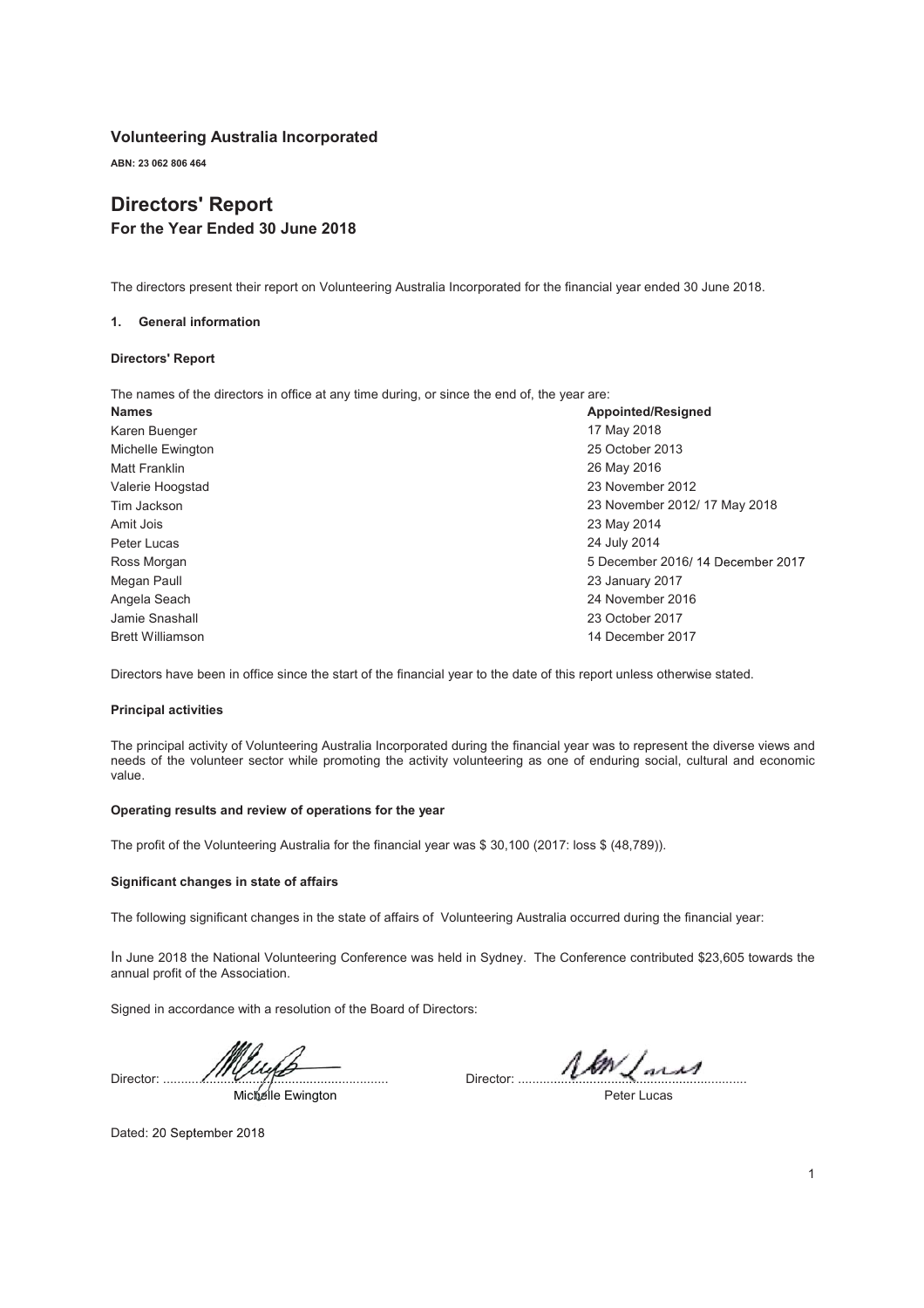ABN: 23 062 806 464

## Directors' Report For the Year Ended 30 June 2018

The directors present their report on Volunteering Australia Incorporated for the financial year ended 30 June 2018.

#### 1. General information

#### Directors' Report

The names of the directors in office at any time during, or since the end of, the year are:

| <b>Names</b>            | <b>Appointed/Resigned</b>        |
|-------------------------|----------------------------------|
| Karen Buenger           | 17 May 2018                      |
| Michelle Ewington       | 25 October 2013                  |
| Matt Franklin           | 26 May 2016                      |
| Valerie Hoogstad        | 23 November 2012                 |
| Tim Jackson             | 23 November 2012/17 May 2018     |
| Amit Jois               | 23 May 2014                      |
| Peter Lucas             | 24 July 2014                     |
| Ross Morgan             | 5 December 2016/14 December 2017 |
| Megan Paull             | 23 January 2017                  |
| Angela Seach            | 24 November 2016                 |
| Jamie Snashall          | 23 October 2017                  |
| <b>Brett Williamson</b> | 14 December 2017                 |

Directors have been in office since the start of the financial year to the date of this report unless otherwise stated.

#### Principal activities

The principal activity of Volunteering Australia Incorporated during the financial year was to represent the diverse views and needs of the volunteer sector while promoting the activity volunteering as one of enduring social, cultural and economic value.

#### Operating results and review of operations for the year

The profit of the Volunteering Australia for the financial year was \$ 30,100 (2017: loss \$ (48,789)).

#### Significant changes in state of affairs

The following significant changes in the state of affairs of Volunteering Australia occurred during the financial year:

In June 2018 the National Volunteering Conference was held in Sydney. The Conference contributed \$23,605 towards the annual profit of the Association.

Signed in accordance with a resolution of the Board of Directors:

Director: ............................................................... ........................................ Michelle Ewington

Director: ................................................................ ...........................................

Peter Lucas

Dated: 20 September 2018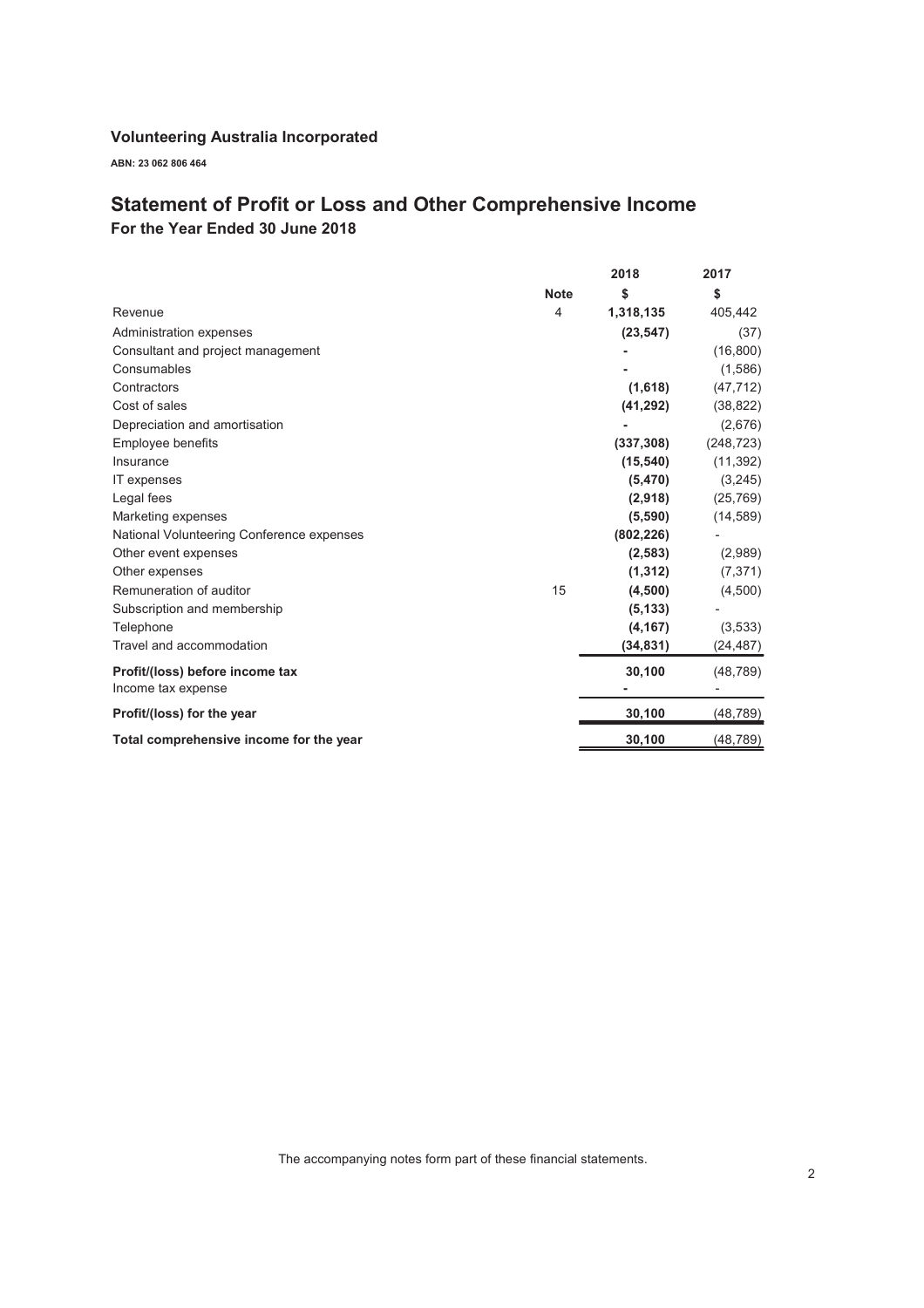ABN: 23 062 806 464

## Statement of Profit or Loss and Other Comprehensive Income

For the Year Ended 30 June 2018

|                                           |             | 2018       | 2017       |
|-------------------------------------------|-------------|------------|------------|
|                                           | <b>Note</b> | \$         | \$         |
| Revenue                                   | 4           | 1,318,135  | 405,442    |
| Administration expenses                   |             | (23, 547)  | (37)       |
| Consultant and project management         |             |            | (16, 800)  |
| Consumables                               |             |            | (1,586)    |
| Contractors                               |             | (1,618)    | (47, 712)  |
| Cost of sales                             |             | (41, 292)  | (38, 822)  |
| Depreciation and amortisation             |             |            | (2,676)    |
| Employee benefits                         |             | (337, 308) | (248, 723) |
| Insurance                                 |             | (15, 540)  | (11, 392)  |
| IT expenses                               |             | (5, 470)   | (3,245)    |
| Legal fees                                |             | (2,918)    | (25, 769)  |
| Marketing expenses                        |             | (5,590)    | (14, 589)  |
| National Volunteering Conference expenses |             | (802, 226) |            |
| Other event expenses                      |             | (2, 583)   | (2,989)    |
| Other expenses                            |             | (1, 312)   | (7, 371)   |
| Remuneration of auditor                   | 15          | (4,500)    | (4,500)    |
| Subscription and membership               |             | (5, 133)   |            |
| Telephone                                 |             | (4, 167)   | (3,533)    |
| Travel and accommodation                  |             | (34, 831)  | (24, 487)  |
| Profit/(loss) before income tax           |             | 30,100     | (48, 789)  |
| Income tax expense                        |             |            |            |
| Profit/(loss) for the year                |             | 30,100     | (48, 789)  |
| Total comprehensive income for the year   |             | 30,100     | (48,789)   |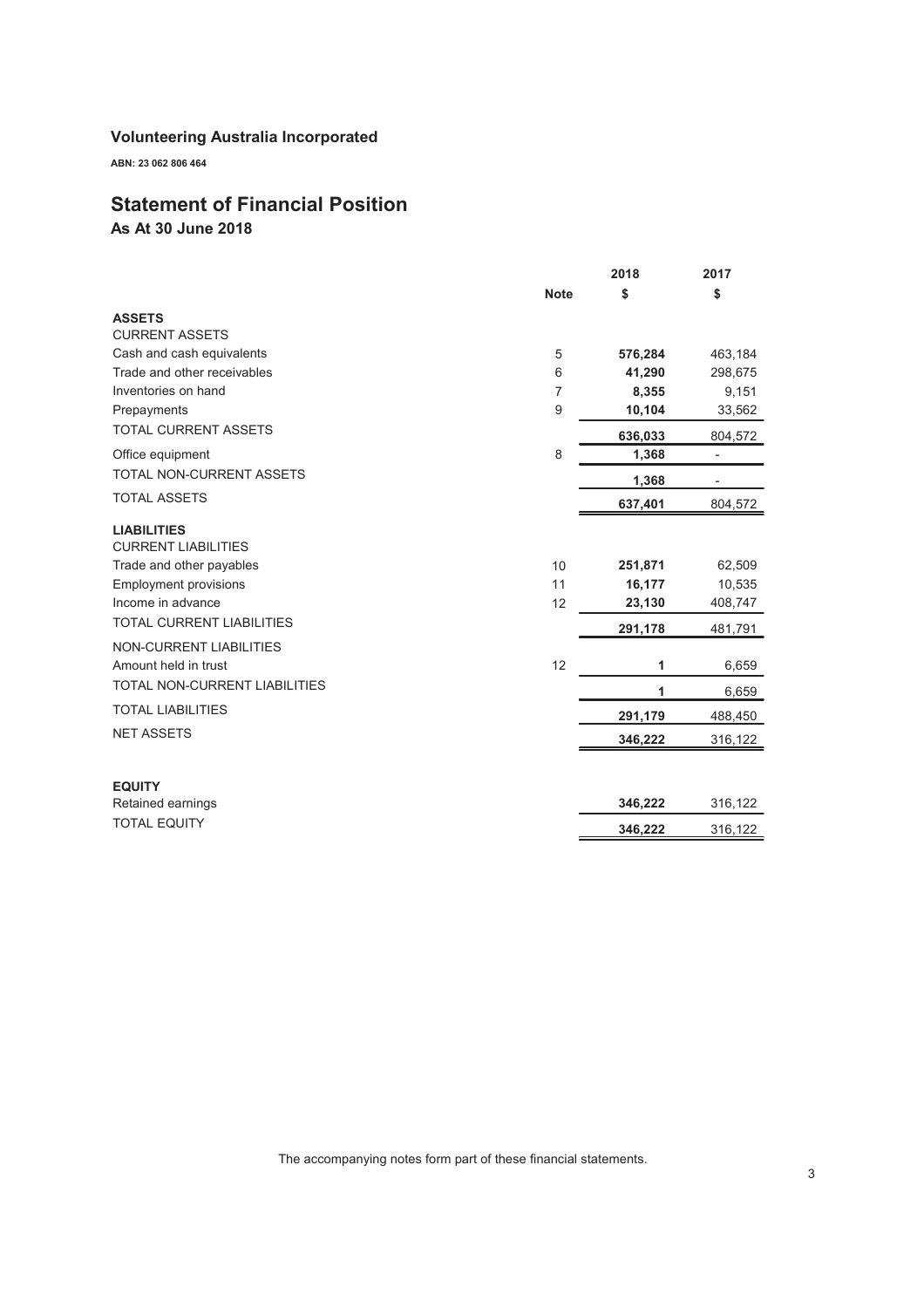ABN: 23 062 806 464

## Statement of Financial Position

As At 30 June 2018

|                                                  |             | 2018    | 2017                     |
|--------------------------------------------------|-------------|---------|--------------------------|
|                                                  | <b>Note</b> | \$      | \$                       |
| <b>ASSETS</b>                                    |             |         |                          |
| <b>CURRENT ASSETS</b>                            |             |         |                          |
| Cash and cash equivalents                        | 5           | 576,284 | 463,184                  |
| Trade and other receivables                      | 6           | 41,290  | 298,675                  |
| Inventories on hand                              | 7           | 8,355   | 9,151                    |
| Prepayments                                      | 9           | 10,104  | 33,562                   |
| <b>TOTAL CURRENT ASSETS</b>                      |             | 636,033 | 804,572                  |
| Office equipment                                 | 8           | 1,368   | $\overline{\phantom{0}}$ |
| TOTAL NON-CURRENT ASSETS                         |             | 1,368   |                          |
| <b>TOTAL ASSETS</b>                              |             | 637,401 | 804,572                  |
| <b>LIABILITIES</b><br><b>CURRENT LIABILITIES</b> |             |         |                          |
| Trade and other payables                         | 10          | 251,871 | 62,509                   |
| <b>Employment provisions</b>                     | 11          | 16,177  | 10,535                   |
| Income in advance                                | 12          | 23,130  | 408,747                  |
| <b>TOTAL CURRENT LIABILITIES</b>                 |             | 291,178 | 481,791                  |
| NON-CURRENT LIABILITIES                          |             |         |                          |
| Amount held in trust                             | 12          | 1       | 6,659                    |
| TOTAL NON-CURRENT LIABILITIES                    |             | 1       | 6,659                    |
| <b>TOTAL LIABILITIES</b>                         |             | 291,179 | 488,450                  |
| <b>NET ASSETS</b>                                |             | 346,222 | 316,122                  |
|                                                  |             |         |                          |
| <b>EQUITY</b>                                    |             |         |                          |
| Retained earnings                                |             | 346,222 | 316,122                  |
| <b>TOTAL EQUITY</b>                              |             | 346,222 | 316,122                  |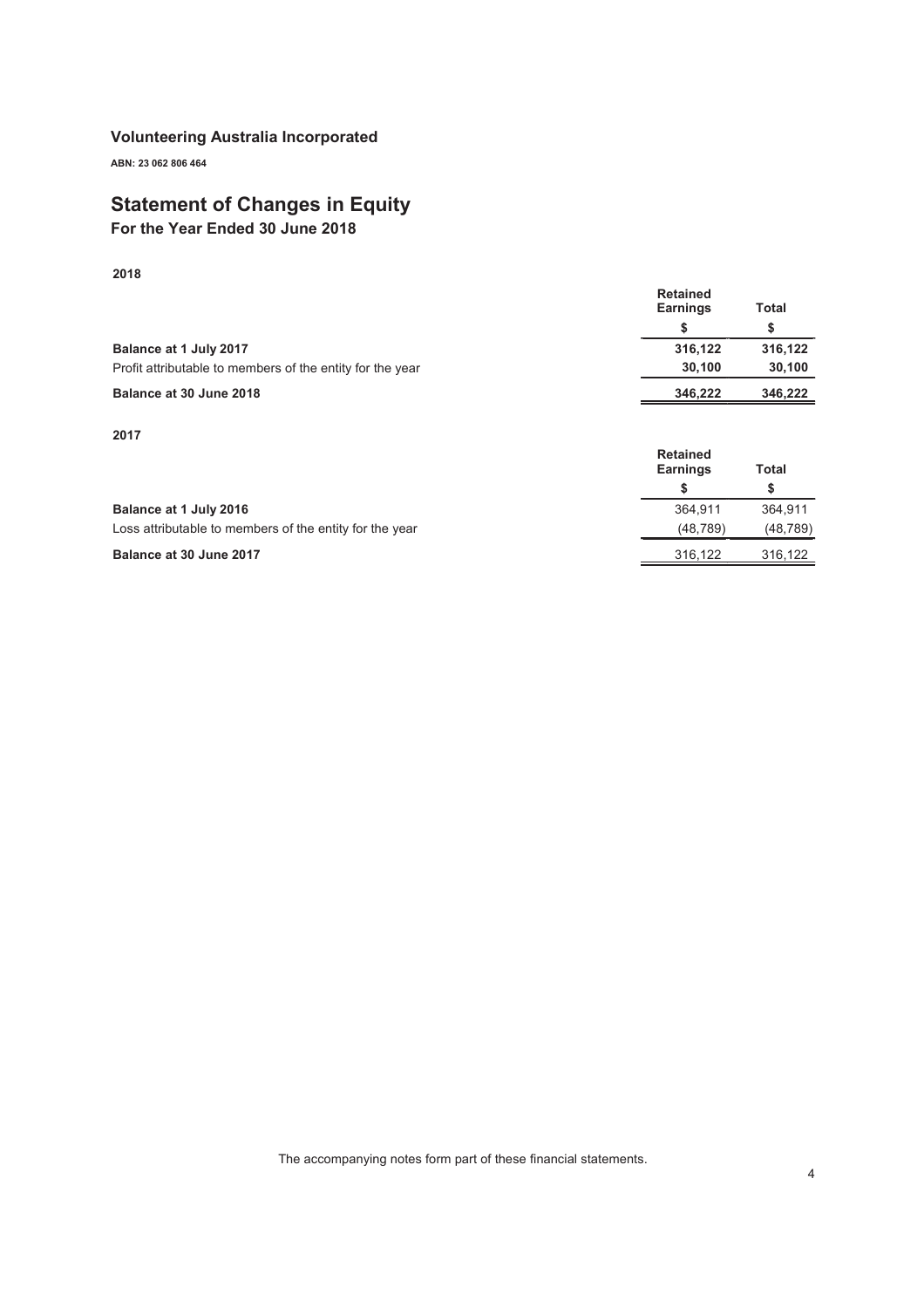ABN: 23 062 806 464

## Statement of Changes in Equity

For the Year Ended 30 June 2018

2018

|                                                           | <b>Retained</b><br><b>Earnings</b> | Total   |
|-----------------------------------------------------------|------------------------------------|---------|
| Balance at 1 July 2017                                    | 316,122                            | 316.122 |
| Profit attributable to members of the entity for the year | 30.100                             | 30,100  |
| Balance at 30 June 2018                                   | 346.222                            | 346,222 |

2017

|                                                         | <b>Retained</b><br><b>Earnings</b><br>Total |           |
|---------------------------------------------------------|---------------------------------------------|-----------|
|                                                         |                                             |           |
| Balance at 1 July 2016                                  | 364.911                                     | 364.911   |
| Loss attributable to members of the entity for the year | (48.789)                                    | (48, 789) |
| Balance at 30 June 2017                                 | 316.122                                     | 316.122   |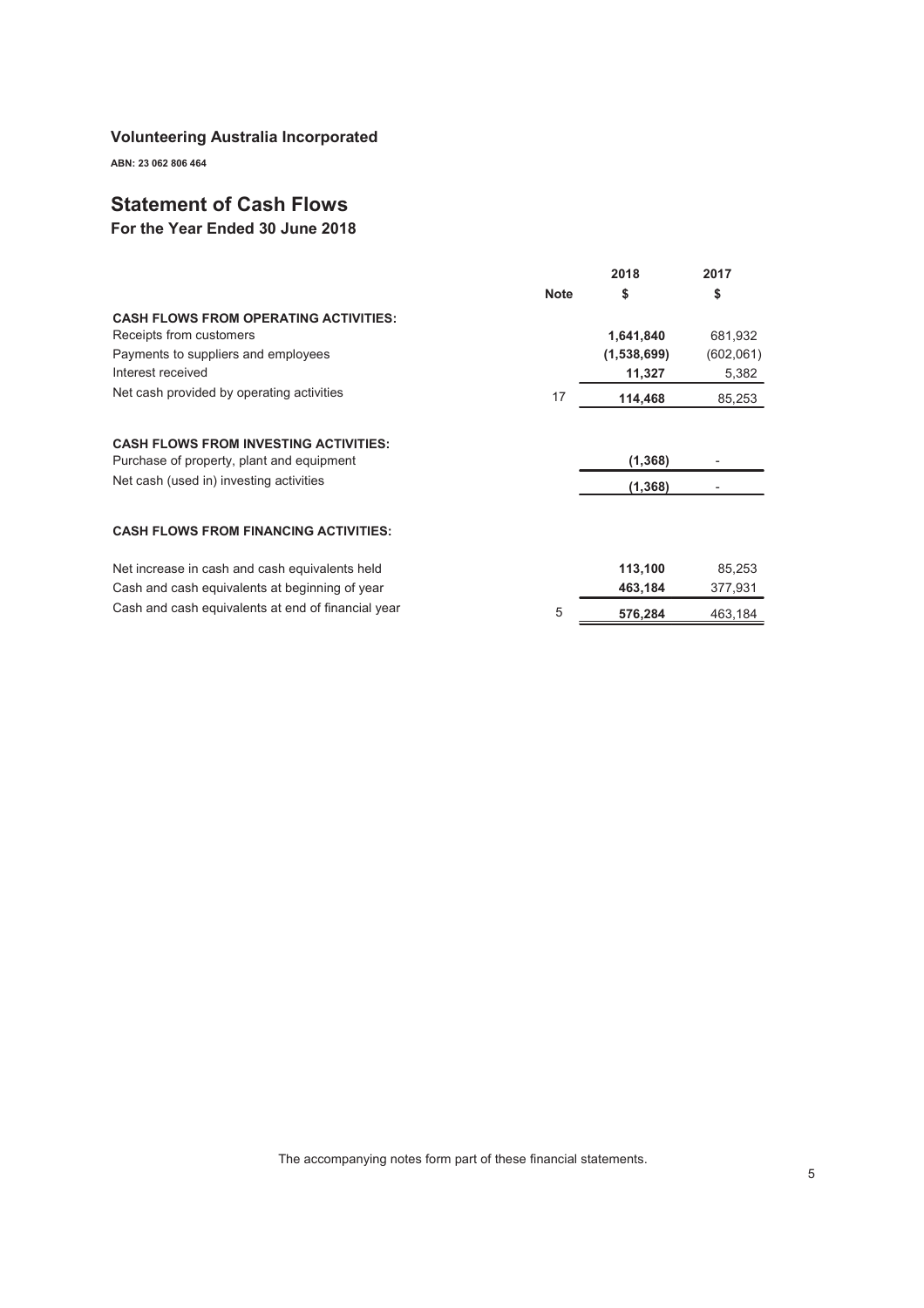ABN: 23 062 806 464

## Statement of Cash Flows

For the Year Ended 30 June 2018

|                                                    |             | 2018        | 2017      |
|----------------------------------------------------|-------------|-------------|-----------|
|                                                    | <b>Note</b> | \$          | \$        |
| <b>CASH FLOWS FROM OPERATING ACTIVITIES:</b>       |             |             |           |
| Receipts from customers                            |             | 1,641,840   | 681,932   |
| Payments to suppliers and employees                |             | (1,538,699) | (602,061) |
| Interest received                                  |             | 11,327      | 5,382     |
| Net cash provided by operating activities          | 17          | 114,468     | 85,253    |
|                                                    |             |             |           |
| <b>CASH FLOWS FROM INVESTING ACTIVITIES:</b>       |             |             |           |
| Purchase of property, plant and equipment          |             | (1,368)     |           |
| Net cash (used in) investing activities            |             | (1, 368)    |           |
|                                                    |             |             |           |
| <b>CASH FLOWS FROM FINANCING ACTIVITIES:</b>       |             |             |           |
| Net increase in cash and cash equivalents held     |             | 113,100     | 85,253    |
| Cash and cash equivalents at beginning of year     |             | 463,184     | 377,931   |
| Cash and cash equivalents at end of financial year | 5           | 576,284     | 463,184   |
|                                                    |             |             |           |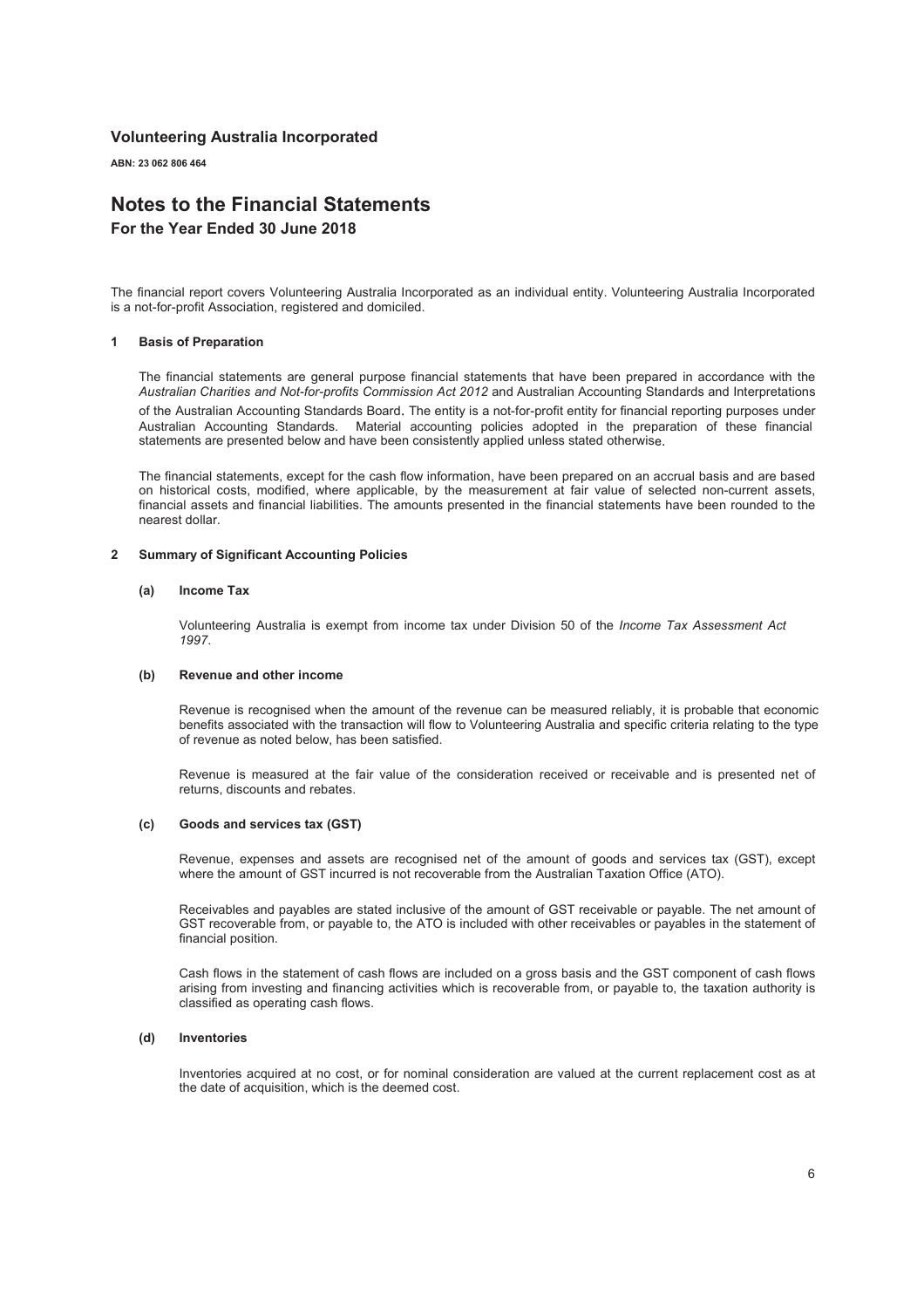ABN: 23 062 806 464

## Notes to the Financial Statements

For the Year Ended 30 June 2018

The financial report covers Volunteering Australia Incorporated as an individual entity. Volunteering Australia Incorporated is a not-for-profit Association, registered and domiciled.

#### 1 Basis of Preparation

The financial statements are general purpose financial statements that have been prepared in accordance with the *Australian Charities and Not-for-profits Commission Act 2012* and Australian Accounting Standards and Interpretations of the Australian Accounting Standards Board. The entity is a not-for-profit entity for financial reporting purposes under Australian Accounting Standards. Material accounting policies adopted in the preparation of these financial statements are presented below and have been consistently applied unless stated otherwis

The financial statements, except for the cash flow information, have been prepared on an accrual basis and are based on historical costs, modified, where applicable, by the measurement at fair value of selected non-current assets, financial assets and financial liabilities. The amounts presented in the financial statements have been rounded to the nearest dollar.

#### 2 Summary of Significant Accounting Policies

#### (a) Income Tax

Volunteering Australia is exempt from income tax under Division 50 of the *Income Tax Assessment Act 1997*.

#### (b) Revenue and other income

Revenue is recognised when the amount of the revenue can be measured reliably, it is probable that economic benefits associated with the transaction will flow to Volunteering Australia and specific criteria relating to the type of revenue as noted below, has been satisfied.

Revenue is measured at the fair value of the consideration received or receivable and is presented net of returns, discounts and rebates.

#### $(c)$ Goods and services tax (GST)

Revenue, expenses and assets are recognised net of the amount of goods and services tax (GST), except where the amount of GST incurred is not recoverable from the Australian Taxation Office (ATO).

Receivables and payables are stated inclusive of the amount of GST receivable or payable. The net amount of GST recoverable from, or payable to, the ATO is included with other receivables or payables in the statement of financial position.

Cash flows in the statement of cash flows are included on a gross basis and the GST component of cash flows arising from investing and financing activities which is recoverable from, or payable to, the taxation authority is classified as operating cash flows.

#### (d) Inventories

Inventories acquired at no cost, or for nominal consideration are valued at the current replacement cost as at the date of acquisition, which is the deemed cost.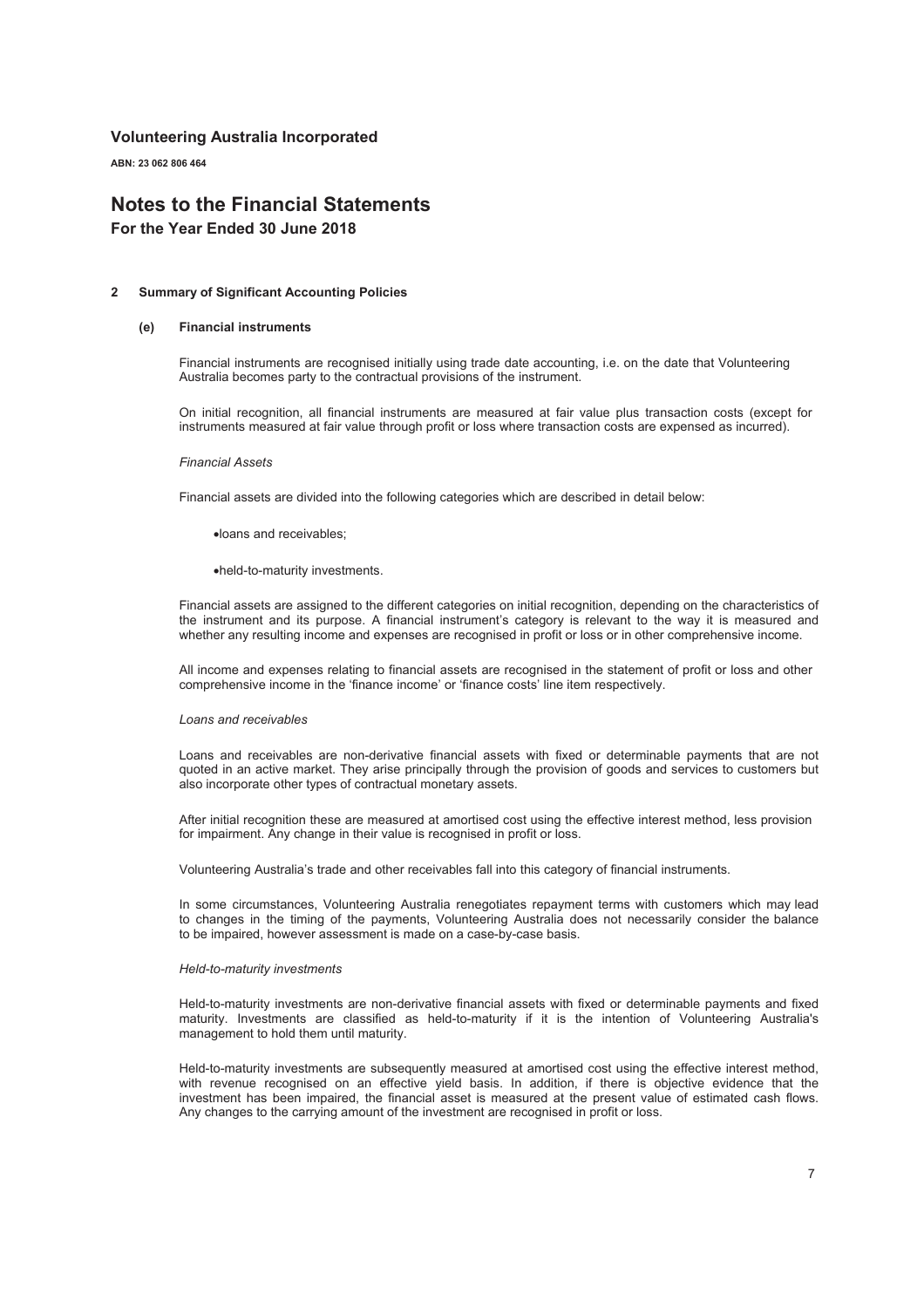ABN: 23 062 806 464

## Notes to the Financial Statements

For the Year Ended 30 June 2018

#### 2 Summary of Significant Accounting Policies

#### (e) Financial instruments

Financial instruments are recognised initially using trade date accounting, i.e. on the date that Volunteering Australia becomes party to the contractual provisions of the instrument.

On initial recognition, all financial instruments are measured at fair value plus transaction costs (except for instruments measured at fair value through profit or loss where transaction costs are expensed as incurred).

#### *Financial Assets*

Financial assets are divided into the following categories which are described in detail below:

xloans and receivables;

xheld-to-maturity investments.

Financial assets are assigned to the different categories on initial recognition, depending on the characteristics of the instrument and its purpose. A financial instrument's category is relevant to the way it is measured and whether any resulting income and expenses are recognised in profit or loss or in other comprehensive income.

All income and expenses relating to financial assets are recognised in the statement of profit or loss and other comprehensive income in the 'finance income' or 'finance costs' line item respectively.

#### *Loans and receivables*

Loans and receivables are non-derivative financial assets with fixed or determinable payments that are not quoted in an active market. They arise principally through the provision of goods and services to customers but also incorporate other types of contractual monetary assets.

After initial recognition these are measured at amortised cost using the effective interest method, less provision for impairment. Any change in their value is recognised in profit or loss.

Volunteering Australia's trade and other receivables fall into this category of financial instruments.

In some circumstances, Volunteering Australia renegotiates repayment terms with customers which may lead to changes in the timing of the payments, Volunteering Australia does not necessarily consider the balance to be impaired, however assessment is made on a case-by-case basis.

#### *Held-to-maturity investments*

Held-to-maturity investments are non-derivative financial assets with fixed or determinable payments and fixed maturity. Investments are classified as held-to-maturity if it is the intention of Volunteering Australia's management to hold them until maturity.

Held-to-maturity investments are subsequently measured at amortised cost using the effective interest method, with revenue recognised on an effective yield basis. In addition, if there is objective evidence that the investment has been impaired, the financial asset is measured at the present value of estimated cash flows. Any changes to the carrying amount of the investment are recognised in profit or loss.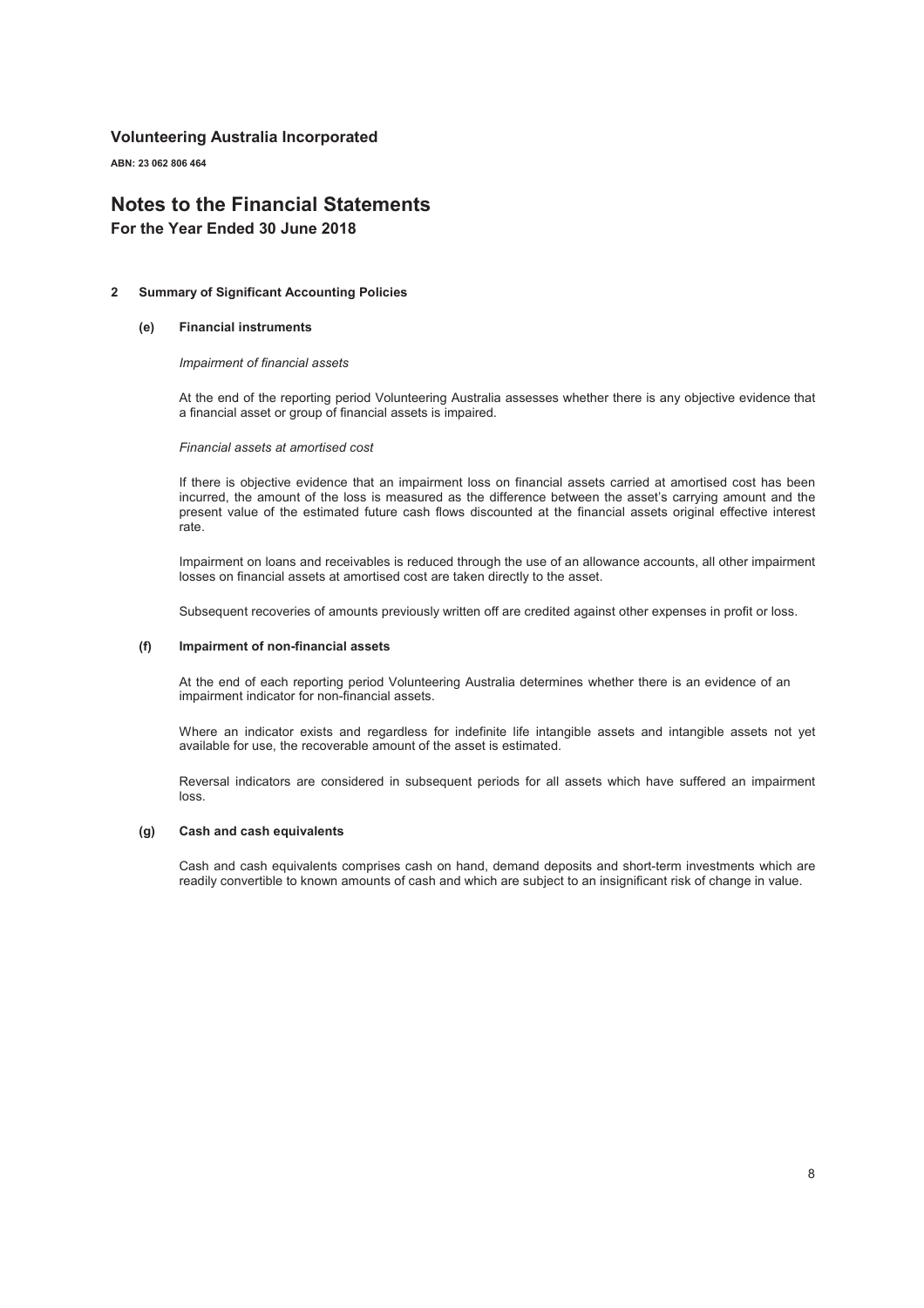ABN: 23 062 806 464

## Notes to the Financial Statements

For the Year Ended 30 June 2018

#### 2 Summary of Significant Accounting Policies

#### (e) Financial instruments

*Impairment of financial assets*

At the end of the reporting period Volunteering Australia assesses whether there is any objective evidence that a financial asset or group of financial assets is impaired.

*Financial assets at amortised cost*

If there is objective evidence that an impairment loss on financial assets carried at amortised cost has been incurred, the amount of the loss is measured as the difference between the asset's carrying amount and the present value of the estimated future cash flows discounted at the financial assets original effective interest rate.

Impairment on loans and receivables is reduced through the use of an allowance accounts, all other impairment losses on financial assets at amortised cost are taken directly to the asset.

Subsequent recoveries of amounts previously written off are credited against other expenses in profit or loss.

#### (f) Impairment of non-financial assets

At the end of each reporting period Volunteering Australia determines whether there is an evidence of an impairment indicator for non-financial assets.

Where an indicator exists and regardless for indefinite life intangible assets and intangible assets not yet available for use, the recoverable amount of the asset is estimated.

Reversal indicators are considered in subsequent periods for all assets which have suffered an impairment loss.

#### (g) Cash and cash equivalents

Cash and cash equivalents comprises cash on hand, demand deposits and short-term investments which are readily convertible to known amounts of cash and which are subject to an insignificant risk of change in value.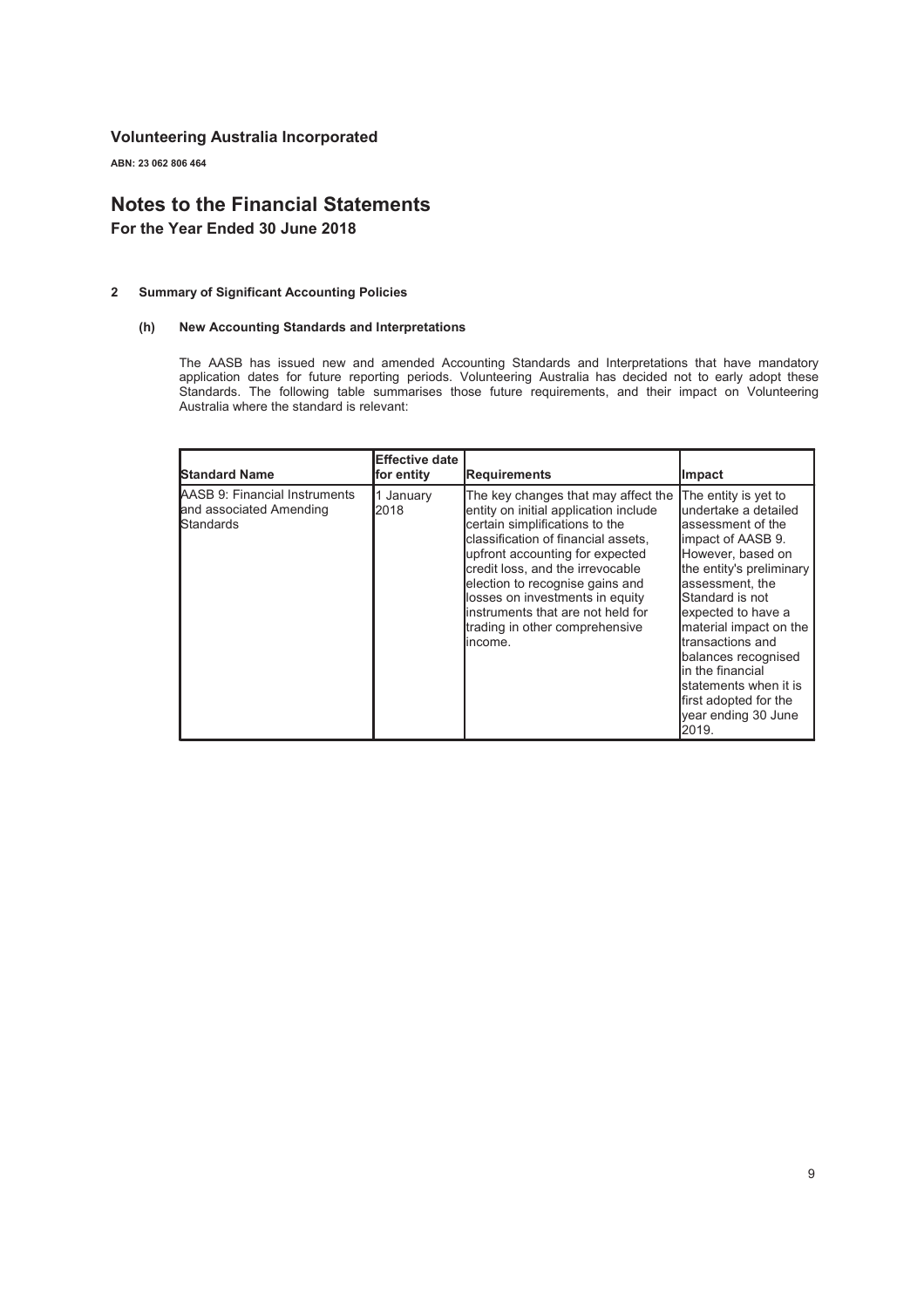ABN: 23 062 806 464

## Notes to the Financial Statements

For the Year Ended 30 June 2018

#### 2 Summary of Significant Accounting Policies

#### (h) New Accounting Standards and Interpretations

The AASB has issued new and amended Accounting Standards and Interpretations that have mandatory application dates for future reporting periods. Volunteering Australia has decided not to early adopt these Standards. The following table summarises those future requirements, and their impact on Volunteering Australia where the standard is relevant:

| <b>Standard Name</b>                                                  | <b>Effective date</b><br>for entity | <b>Requirements</b>                                                                                                                                                                                                                                                                                                                                                                    | <b>Impact</b>                                                                                                                                                                                                                                                                                                                                                                        |
|-----------------------------------------------------------------------|-------------------------------------|----------------------------------------------------------------------------------------------------------------------------------------------------------------------------------------------------------------------------------------------------------------------------------------------------------------------------------------------------------------------------------------|--------------------------------------------------------------------------------------------------------------------------------------------------------------------------------------------------------------------------------------------------------------------------------------------------------------------------------------------------------------------------------------|
| AASB 9: Financial Instruments<br>and associated Amending<br>Standards | January<br>2018                     | The key changes that may affect the<br>entity on initial application include<br>certain simplifications to the<br>classification of financial assets,<br>upfront accounting for expected<br>credit loss, and the irrevocable<br>election to recognise gains and<br>losses on investments in equity<br>linstruments that are not held for<br>trading in other comprehensive<br>lincome. | The entity is yet to<br>lundertake a detailed<br>lassessment of the<br>limpact of AASB 9.<br>However, based on<br>the entity's preliminary<br>lassessment, the<br>Standard is not<br>expected to have a<br>material impact on the<br>ltransactions and<br>balances recognised<br>lin the financial<br>statements when it is<br>first adopted for the<br>year ending 30 June<br>2019. |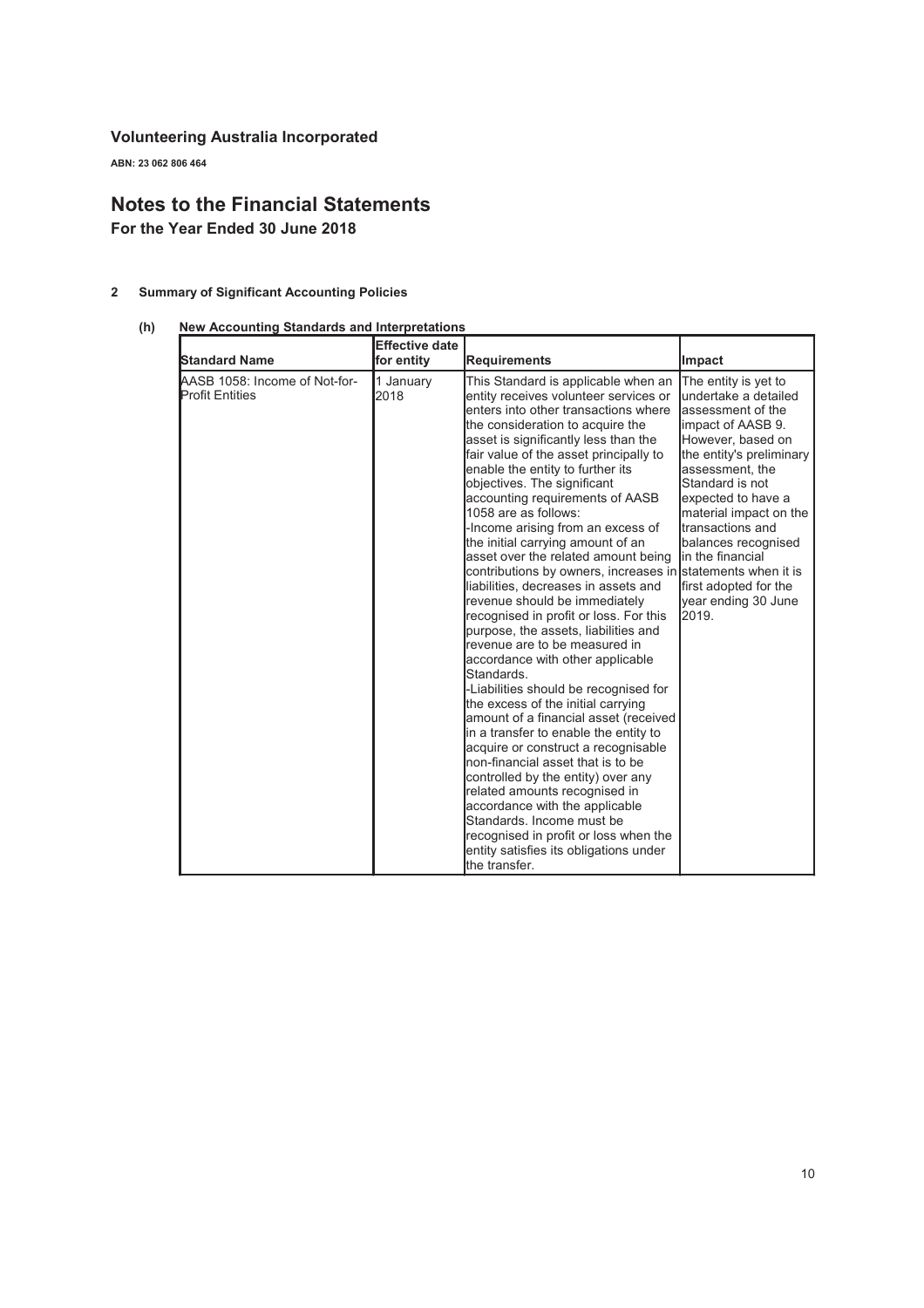ABN: 23 062 806 464

## Notes to the Financial Statements

For the Year Ended 30 June 2018

## 2 Summary of Significant Accounting Policies

#### (h) New Accounting Standards and Interpretations

| <b>Standard Name</b>                                    | <b>Effective date</b><br>for entity | <b>Requirements</b>                                                                                                                                                                                                                                                                                                                                                                                                                                                                                                                                                                                                                                                                                                                                                                                                                                                                                                                                                                                                                                                                                                                                                                                                                                                                           | Impact                                                                                                                                                                                                                                                                                                                                                          |
|---------------------------------------------------------|-------------------------------------|-----------------------------------------------------------------------------------------------------------------------------------------------------------------------------------------------------------------------------------------------------------------------------------------------------------------------------------------------------------------------------------------------------------------------------------------------------------------------------------------------------------------------------------------------------------------------------------------------------------------------------------------------------------------------------------------------------------------------------------------------------------------------------------------------------------------------------------------------------------------------------------------------------------------------------------------------------------------------------------------------------------------------------------------------------------------------------------------------------------------------------------------------------------------------------------------------------------------------------------------------------------------------------------------------|-----------------------------------------------------------------------------------------------------------------------------------------------------------------------------------------------------------------------------------------------------------------------------------------------------------------------------------------------------------------|
| AASB 1058: Income of Not-for-<br><b>Profit Entities</b> | 1 January<br>2018                   | This Standard is applicable when an<br>entity receives volunteer services or<br>enters into other transactions where<br>the consideration to acquire the<br>asset is significantly less than the<br>fair value of the asset principally to<br>enable the entity to further its<br>objectives. The significant<br>accounting requirements of AASB<br>1058 are as follows:<br>-Income arising from an excess of<br>the initial carrying amount of an<br>asset over the related amount being<br>contributions by owners, increases in statements when it is<br>liabilities, decreases in assets and<br>revenue should be immediately<br>recognised in profit or loss. For this<br>purpose, the assets, liabilities and<br>revenue are to be measured in<br>accordance with other applicable<br>Standards.<br>-Liabilities should be recognised for<br>the excess of the initial carrying<br>amount of a financial asset (received<br>in a transfer to enable the entity to<br>acquire or construct a recognisable<br>non-financial asset that is to be<br>controlled by the entity) over any<br>related amounts recognised in<br>accordance with the applicable<br>Standards, Income must be<br>recognised in profit or loss when the<br>entity satisfies its obligations under<br>the transfer. | The entity is yet to<br>undertake a detailed<br>assessment of the<br>limpact of AASB 9.<br>However, based on<br>the entity's preliminary<br>assessment, the<br>Standard is not<br>expected to have a<br>material impact on the<br>transactions and<br>balances recognised<br><b>l</b> in the financial<br>first adopted for the<br>year ending 30 June<br>2019. |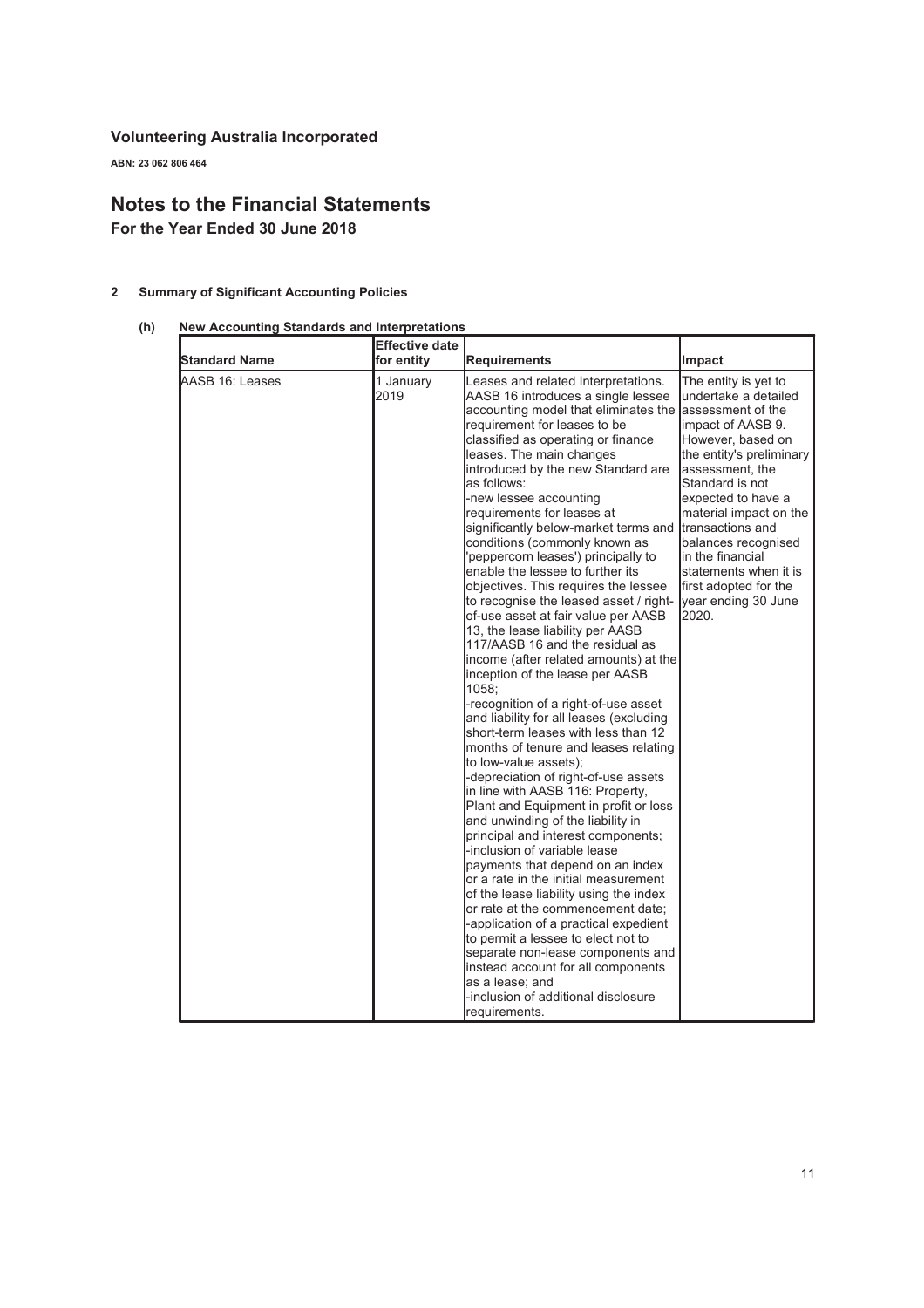ABN: 23 062 806 464

## Notes to the Financial Statements

For the Year Ended 30 June 2018

## 2 Summary of Significant Accounting Policies

## (h) New Accounting Standards and Interpretations

| <b>Standard Name</b> | <b>Effective date</b><br>for entity | <b>Requirements</b>                                                                                                                                                                                                                                                                                                                                                                                                                                                                                                                                                                                                                                                                                                                                                                                                                                                                                                                                                                                                                                                                                                                                                                                                                                                                                                                                                                                                                                                                                                                                                                                                    | Impact                                                                                                                                                                                                                                                                                                                                                       |
|----------------------|-------------------------------------|------------------------------------------------------------------------------------------------------------------------------------------------------------------------------------------------------------------------------------------------------------------------------------------------------------------------------------------------------------------------------------------------------------------------------------------------------------------------------------------------------------------------------------------------------------------------------------------------------------------------------------------------------------------------------------------------------------------------------------------------------------------------------------------------------------------------------------------------------------------------------------------------------------------------------------------------------------------------------------------------------------------------------------------------------------------------------------------------------------------------------------------------------------------------------------------------------------------------------------------------------------------------------------------------------------------------------------------------------------------------------------------------------------------------------------------------------------------------------------------------------------------------------------------------------------------------------------------------------------------------|--------------------------------------------------------------------------------------------------------------------------------------------------------------------------------------------------------------------------------------------------------------------------------------------------------------------------------------------------------------|
| AASB 16: Leases      | 1 January<br>2019                   | Leases and related Interpretations.<br>AASB 16 introduces a single lessee<br>accounting model that eliminates the assessment of the<br>requirement for leases to be<br>classified as operating or finance<br>leases. The main changes<br>introduced by the new Standard are<br>as follows:<br>-new lessee accounting<br>requirements for leases at<br>significantly below-market terms and<br>conditions (commonly known as<br>'peppercorn leases') principally to<br>enable the lessee to further its<br>objectives. This requires the lessee<br>to recognise the leased asset / right-<br>of-use asset at fair value per AASB<br>13, the lease liability per AASB<br>117/AASB 16 and the residual as<br>income (after related amounts) at the<br>inception of the lease per AASB<br>1058;<br>-recognition of a right-of-use asset<br>and liability for all leases (excluding<br>short-term leases with less than 12<br>months of tenure and leases relating<br>to low-value assets);<br>-depreciation of right-of-use assets<br>in line with AASB 116: Property,<br>Plant and Equipment in profit or loss<br>and unwinding of the liability in<br>principal and interest components;<br>-inclusion of variable lease<br>payments that depend on an index<br>or a rate in the initial measurement<br>of the lease liability using the index<br>or rate at the commencement date;<br>-application of a practical expedient<br>to permit a lessee to elect not to<br>separate non-lease components and<br>instead account for all components<br>as a lease; and<br>-inclusion of additional disclosure<br>requirements. | The entity is yet to<br>undertake a detailed<br>limpact of AASB 9.<br>However, based on<br>the entity's preliminary<br>assessment, the<br>Standard is not<br>expected to have a<br>material impact on the<br>transactions and<br>balances recognised<br>lin the financial<br>lstatements when it is<br>first adopted for the<br>year ending 30 June<br>2020. |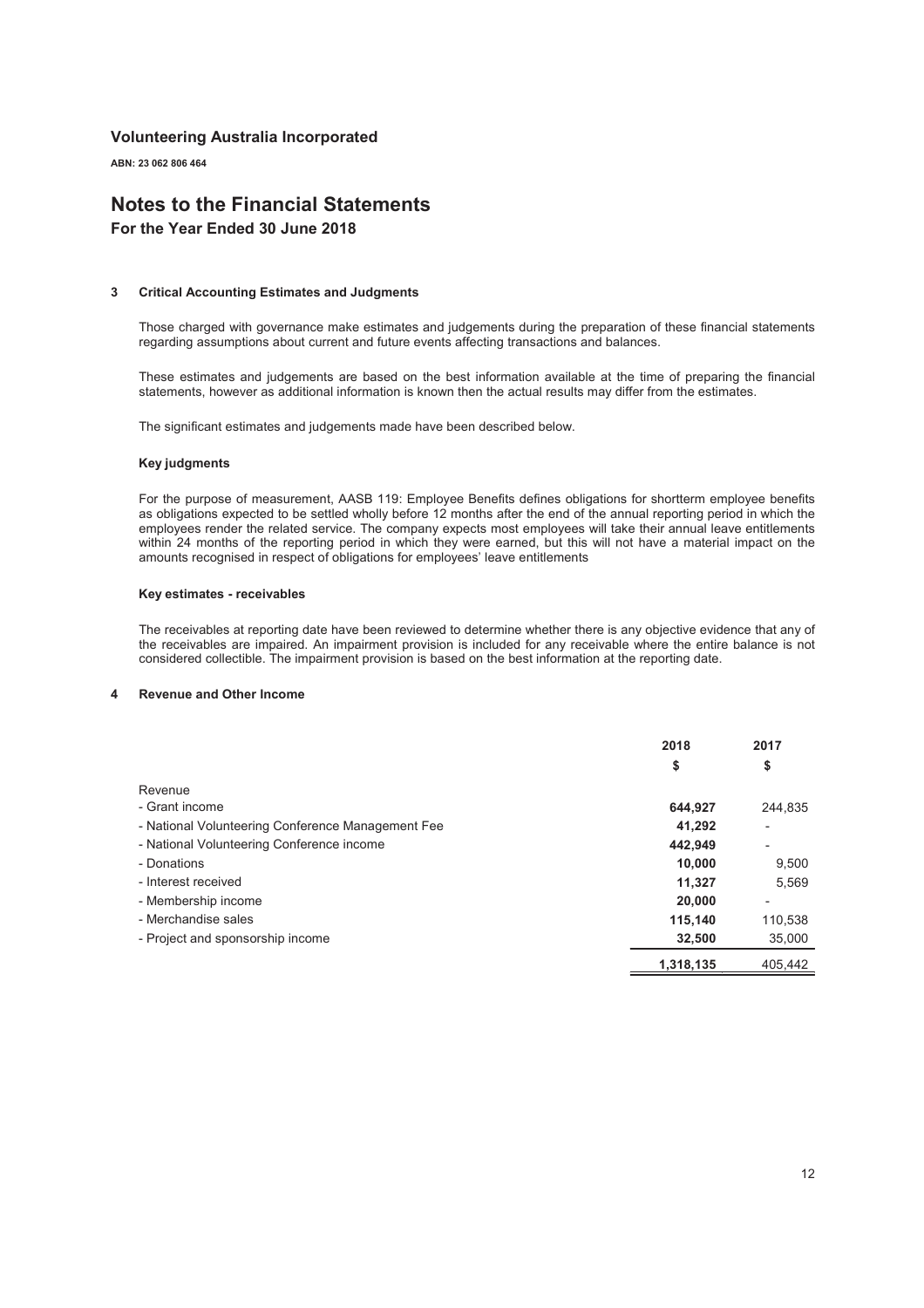ABN: 23 062 806 464

## Notes to the Financial Statements

For the Year Ended 30 June 2018

#### 3 Critical Accounting Estimates and Judgments

Those charged with governance make estimates and judgements during the preparation of these financial statements regarding assumptions about current and future events affecting transactions and balances.

These estimates and judgements are based on the best information available at the time of preparing the financial statements, however as additional information is known then the actual results may differ from the estimates.

The significant estimates and judgements made have been described below.

#### Key judgments

For the purpose of measurement, AASB 119: Employee Benefits defines obligations for shortterm employee benefits as obligations expected to be settled wholly before 12 months after the end of the annual reporting period in which the employees render the related service. The company expects most employees will take their annual leave entitlements within 24 months of the reporting period in which they were earned, but this will not have a material impact on the amounts recognised in respect of obligations for employees' leave entitlements

#### Key estimates - receivables

The receivables at reporting date have been reviewed to determine whether there is any objective evidence that any of the receivables are impaired. An impairment provision is included for any receivable where the entire balance is not considered collectible. The impairment provision is based on the best information at the reporting date.

#### Revenue and Other Income

|                                                   | 2018      | 2017           |
|---------------------------------------------------|-----------|----------------|
|                                                   | \$        | \$             |
| Revenue                                           |           |                |
| - Grant income                                    | 644.927   | 244.835        |
| - National Volunteering Conference Management Fee | 41,292    |                |
| - National Volunteering Conference income         | 442,949   | ٠              |
| - Donations                                       | 10,000    | 9,500          |
| - Interest received                               | 11.327    | 5,569          |
| - Membership income                               | 20,000    | $\overline{a}$ |
| - Merchandise sales                               | 115,140   | 110,538        |
| - Project and sponsorship income                  | 32,500    | 35,000         |
|                                                   | 1,318,135 | 405.442        |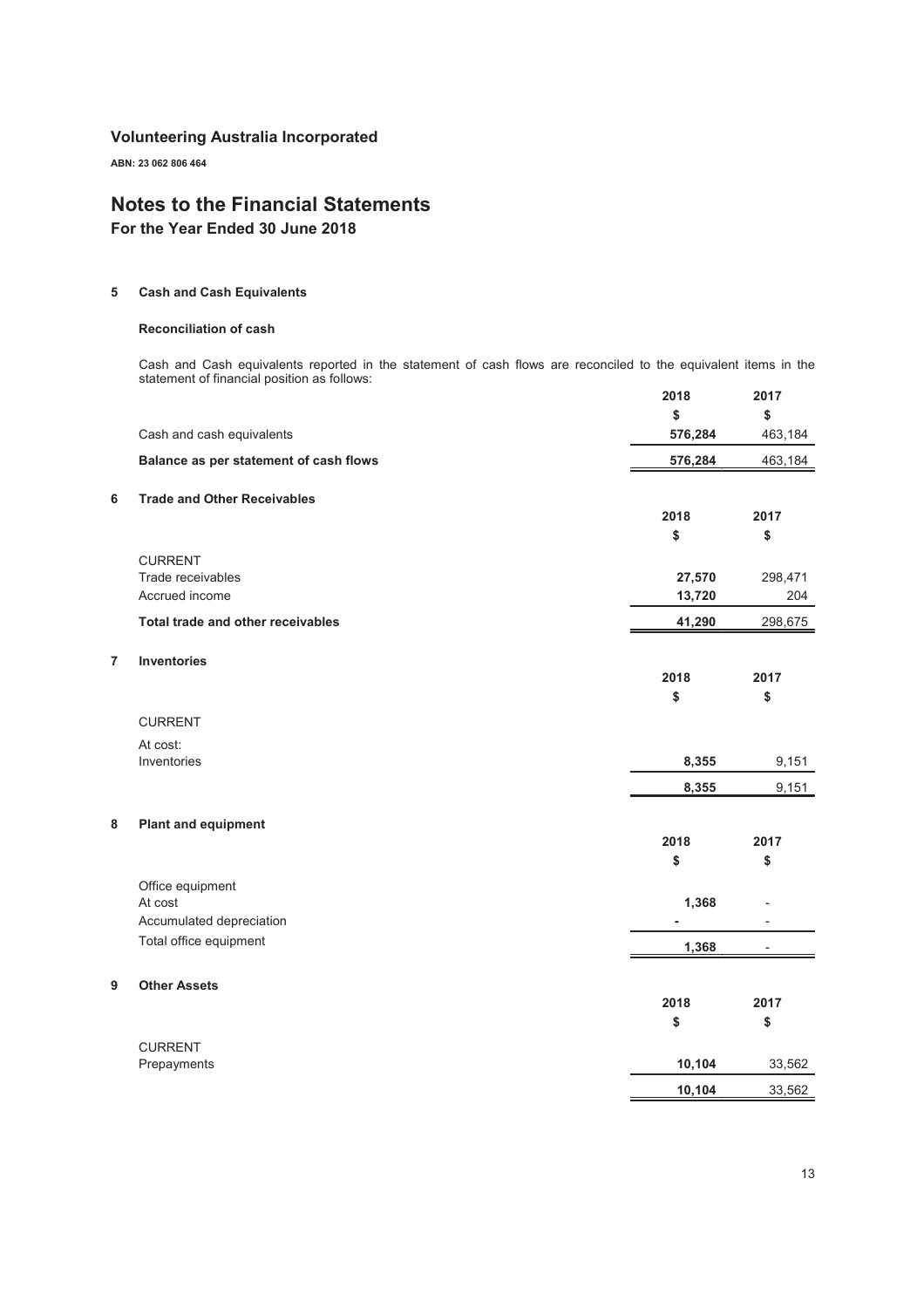ABN: 23 062 806 464

## Notes to the Financial Statements

For the Year Ended 30 June 2018

#### 5 Cash and Cash Equivalents

#### Reconciliation of cash

Cash and Cash equivalents reported in the statement of cash flows are reconciled to the equivalent items in the statement of financial position as follows: 2018 2017

|   |                                        | ZUIO    | 20 I <i>I</i>            |
|---|----------------------------------------|---------|--------------------------|
|   |                                        | \$      | \$                       |
|   | Cash and cash equivalents              | 576,284 | 463,184                  |
|   | Balance as per statement of cash flows | 576,284 | 463,184                  |
| 6 | <b>Trade and Other Receivables</b>     |         |                          |
|   |                                        | 2018    | 2017                     |
|   |                                        | \$      | \$                       |
|   | <b>CURRENT</b>                         |         |                          |
|   | Trade receivables                      | 27,570  | 298,471                  |
|   | Accrued income                         | 13,720  | 204                      |
|   | Total trade and other receivables      | 41,290  | 298,675                  |
| 7 | <b>Inventories</b>                     |         |                          |
|   |                                        | 2018    | 2017                     |
|   |                                        | \$      | \$                       |
|   | <b>CURRENT</b>                         |         |                          |
|   | At cost:                               |         |                          |
|   | Inventories                            | 8,355   | 9,151                    |
|   |                                        | 8,355   | 9,151                    |
| 8 | <b>Plant and equipment</b>             |         |                          |
|   |                                        | 2018    | 2017                     |
|   |                                        | \$      | \$                       |
|   | Office equipment                       |         |                          |
|   | At cost                                | 1,368   |                          |
|   | Accumulated depreciation               |         |                          |
|   | Total office equipment                 | 1,368   | $\overline{\phantom{a}}$ |
| 9 | <b>Other Assets</b>                    |         |                          |
|   |                                        | 2018    | 2017                     |
|   |                                        | \$      | \$                       |
|   | <b>CURRENT</b>                         |         |                          |
|   | Prepayments                            | 10,104  | 33,562                   |
|   |                                        | 10,104  | 33,562                   |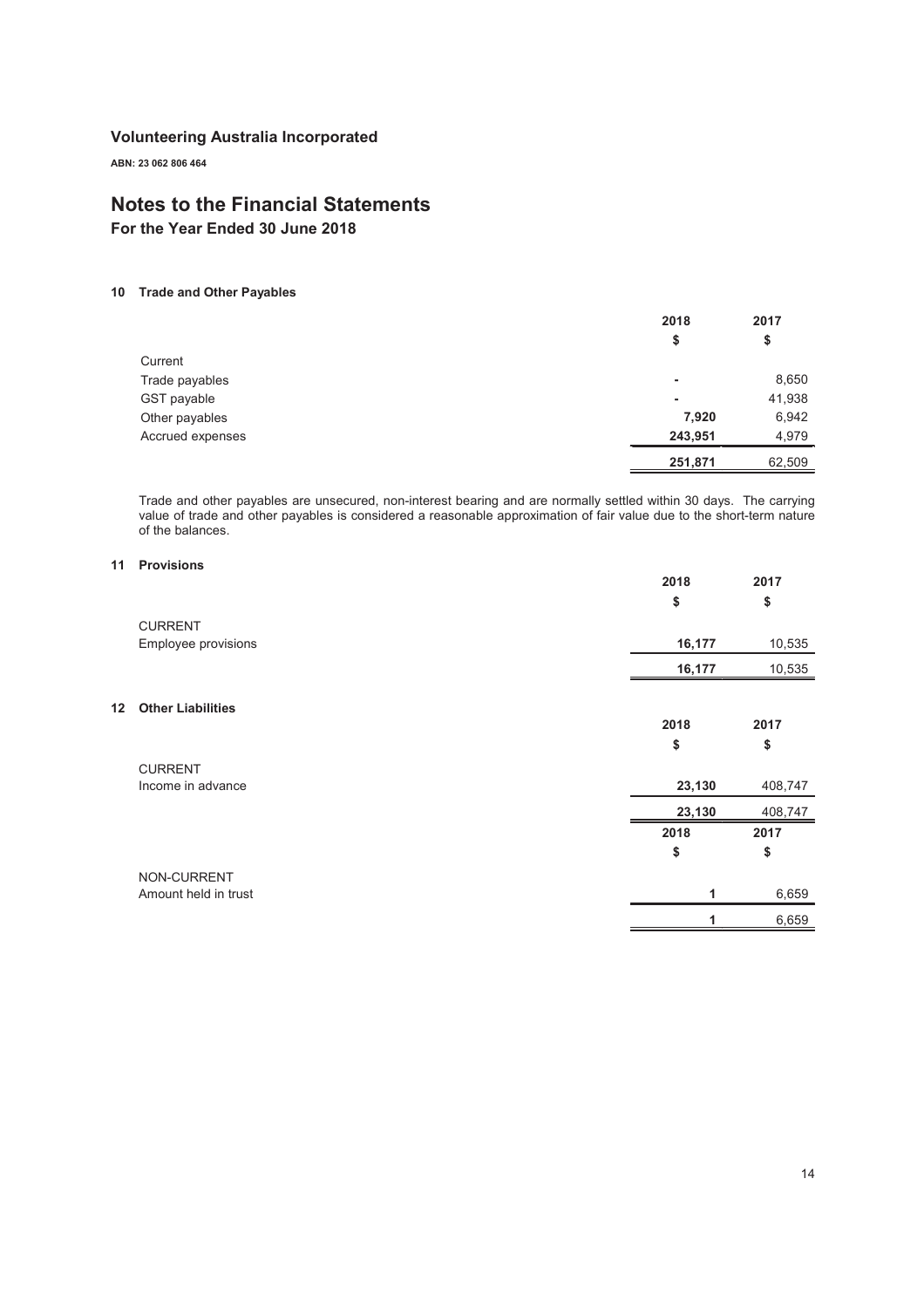ABN: 23 062 806 464

## Notes to the Financial Statements

For the Year Ended 30 June 2018

#### 10 Trade and Other Payables

|                  | 2018    | 2017   |
|------------------|---------|--------|
|                  | \$      | \$     |
| Current          |         |        |
| Trade payables   | ٠       | 8,650  |
| GST payable      | ٠       | 41,938 |
| Other payables   | 7,920   | 6,942  |
| Accrued expenses | 243,951 | 4,979  |
|                  | 251,871 | 62,509 |

Trade and other payables are unsecured, non-interest bearing and are normally settled within 30 days. The carrying value of trade and other payables is considered a reasonable approximation of fair value due to the short-term nature of the balances.

#### 11 Provisions

 $12$ 

|                          | 2018   | 2017    |
|--------------------------|--------|---------|
|                          | \$     | \$      |
| <b>CURRENT</b>           |        |         |
| Employee provisions      | 16,177 | 10,535  |
|                          | 16,177 | 10,535  |
|                          |        |         |
| <b>Other Liabilities</b> |        |         |
|                          | 2018   | 2017    |
|                          | \$     | \$      |
| <b>CURRENT</b>           |        |         |
| Income in advance        | 23,130 | 408,747 |
|                          | 23,130 | 408,747 |
|                          | 2018   | 2017    |
|                          | \$     | \$      |
| NON-CURRENT              |        |         |
| Amount held in trust     | 1      | 6,659   |
|                          | 1      | 6,659   |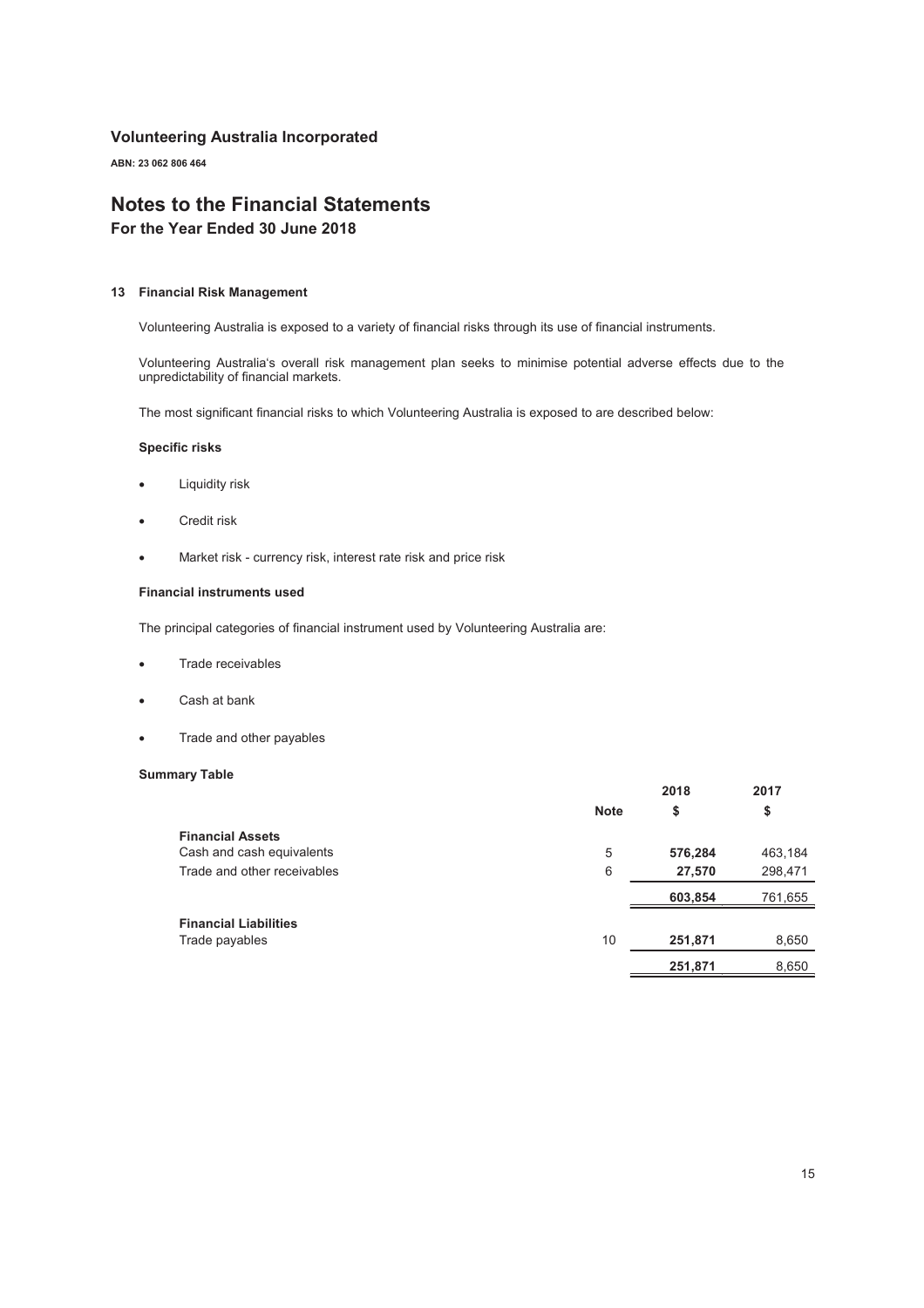ABN: 23 062 806 464

## Notes to the Financial Statements

For the Year Ended 30 June 2018

#### 13 Financial Risk Management

Volunteering Australia is exposed to a variety of financial risks through its use of financial instruments.

Volunteering Australia's overall risk management plan seeks to minimise potential adverse effects due to the unpredictability of financial markets.

The most significant financial risks to which Volunteering Australia is exposed to are described below:

#### Specific risks

- **•** Liquidity risk
- Credit risk
- Market risk currency risk, interest rate risk and price risk

#### Financial instruments used

The principal categories of financial instrument used by Volunteering Australia are:

- Trade receivables
- Cash at bank
- Trade and other payables

#### Summary Table

| -                            |             | 2018    | 2017    |
|------------------------------|-------------|---------|---------|
|                              | <b>Note</b> | \$      | \$      |
| <b>Financial Assets</b>      |             |         |         |
| Cash and cash equivalents    | 5           | 576,284 | 463,184 |
| Trade and other receivables  | 6           | 27,570  | 298,471 |
|                              |             | 603,854 | 761,655 |
| <b>Financial Liabilities</b> |             |         |         |
| Trade payables               | 10          | 251,871 | 8,650   |
|                              |             | 251,871 | 8,650   |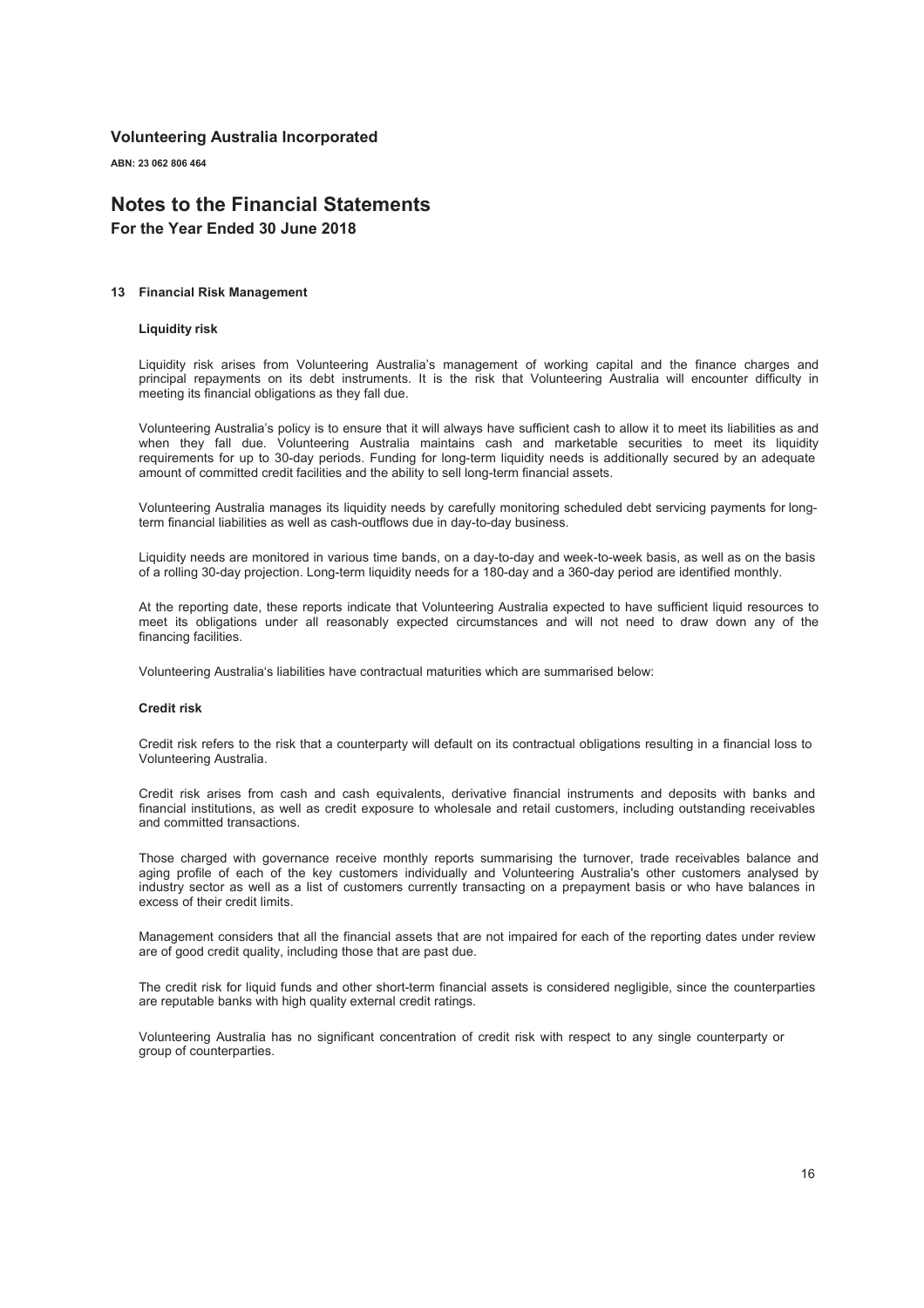ABN: 23 062 806 464

## Notes to the Financial Statements

For the Year Ended 30 June 2018

#### 13 Financial Risk Management

#### Liquidity risk

Liquidity risk arises from Volunteering Australia's management of working capital and the finance charges and principal repayments on its debt instruments. It is the risk that Volunteering Australia will encounter difficulty in meeting its financial obligations as they fall due.

Volunteering Australia's policy is to ensure that it will always have sufficient cash to allow it to meet its liabilities as and when they fall due. Volunteering Australia maintains cash and marketable securities to meet its liquidity requirements for up to 30-day periods. Funding for long-term liquidity needs is additionally secured by an adequate amount of committed credit facilities and the ability to sell long-term financial assets.

Volunteering Australia manages its liquidity needs by carefully monitoring scheduled debt servicing payments for longterm financial liabilities as well as cash-outflows due in day-to-day business.

Liquidity needs are monitored in various time bands, on a day-to-day and week-to-week basis, as well as on the basis of a rolling 30-day projection. Long-term liquidity needs for a 180-day and a 360-day period are identified monthly.

At the reporting date, these reports indicate that Volunteering Australia expected to have sufficient liquid resources to meet its obligations under all reasonably expected circumstances and will not need to draw down any of the financing facilities.

Volunteering Australia's liabilities have contractual maturities which are summarised below:

#### Credit risk

Credit risk refers to the risk that a counterparty will default on its contractual obligations resulting in a financial loss to Volunteering Australia.

Credit risk arises from cash and cash equivalents, derivative financial instruments and deposits with banks and financial institutions, as well as credit exposure to wholesale and retail customers, including outstanding receivables and committed transactions.

Those charged with governance receive monthly reports summarising the turnover, trade receivables balance and aging profile of each of the key customers individually and Volunteering Australia's other customers analysed by industry sector as well as a list of customers currently transacting on a prepayment basis or who have balances in excess of their credit limits.

Management considers that all the financial assets that are not impaired for each of the reporting dates under review are of good credit quality, including those that are past due.

The credit risk for liquid funds and other short-term financial assets is considered negligible, since the counterparties are reputable banks with high quality external credit ratings.

Volunteering Australia has no significant concentration of credit risk with respect to any single counterparty or group of counterparties.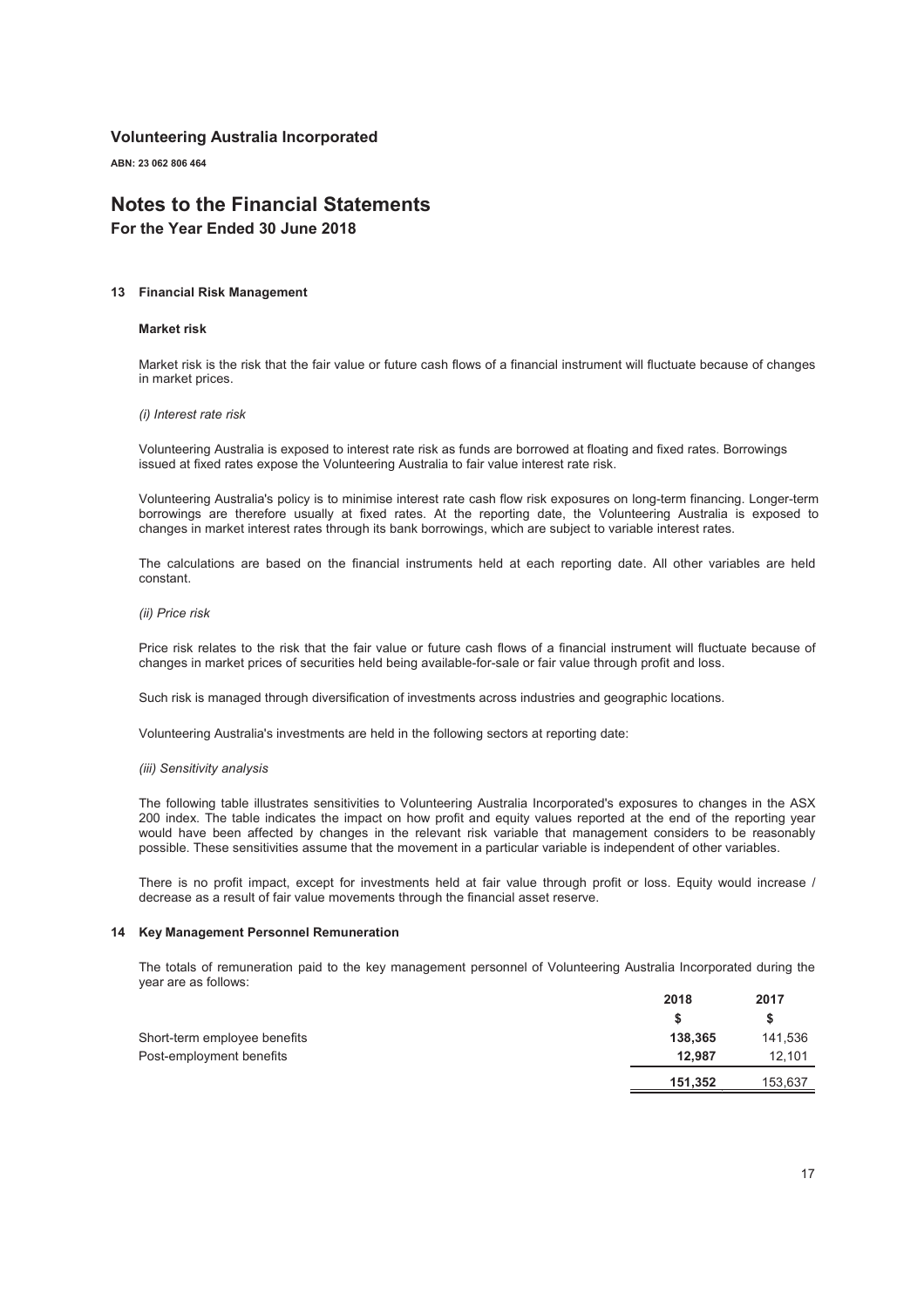ABN: 23 062 806 464

## Notes to the Financial Statements

For the Year Ended 30 June 2018

#### 13 Financial Risk Management

#### Market risk

Market risk is the risk that the fair value or future cash flows of a financial instrument will fluctuate because of changes in market prices.

#### *(i) Interest rate risk*

Volunteering Australia is exposed to interest rate risk as funds are borrowed at floating and fixed rates. Borrowings issued at fixed rates expose the Volunteering Australia to fair value interest rate risk.

Volunteering Australia's policy is to minimise interest rate cash flow risk exposures on long-term financing. Longer-term borrowings are therefore usually at fixed rates. At the reporting date, the Volunteering Australia is exposed to changes in market interest rates through its bank borrowings, which are subject to variable interest rates.

The calculations are based on the financial instruments held at each reporting date. All other variables are held constant.

#### *(ii) Price risk*

Price risk relates to the risk that the fair value or future cash flows of a financial instrument will fluctuate because of changes in market prices of securities held being available-for-sale or fair value through profit and loss.

Such risk is managed through diversification of investments across industries and geographic locations.

Volunteering Australia's investments are held in the following sectors at reporting date:

#### *(iii) Sensitivity analysis*

The following table illustrates sensitivities to Volunteering Australia Incorporated's exposures to changes in the ASX 200 index. The table indicates the impact on how profit and equity values reported at the end of the reporting year would have been affected by changes in the relevant risk variable that management considers to be reasonably possible. These sensitivities assume that the movement in a particular variable is independent of other variables.

There is no profit impact, except for investments held at fair value through profit or loss. Equity would increase / decrease as a result of fair value movements through the financial asset reserve.

#### 14 Key Management Personnel Remuneration

The totals of remuneration paid to the key management personnel of Volunteering Australia Incorporated during the year are as follows:

|                              | 2018    | 2017    |
|------------------------------|---------|---------|
|                              |         | S       |
| Short-term employee benefits | 138.365 | 141,536 |
| Post-employment benefits     | 12.987  | 12,101  |
|                              | 151,352 | 153,637 |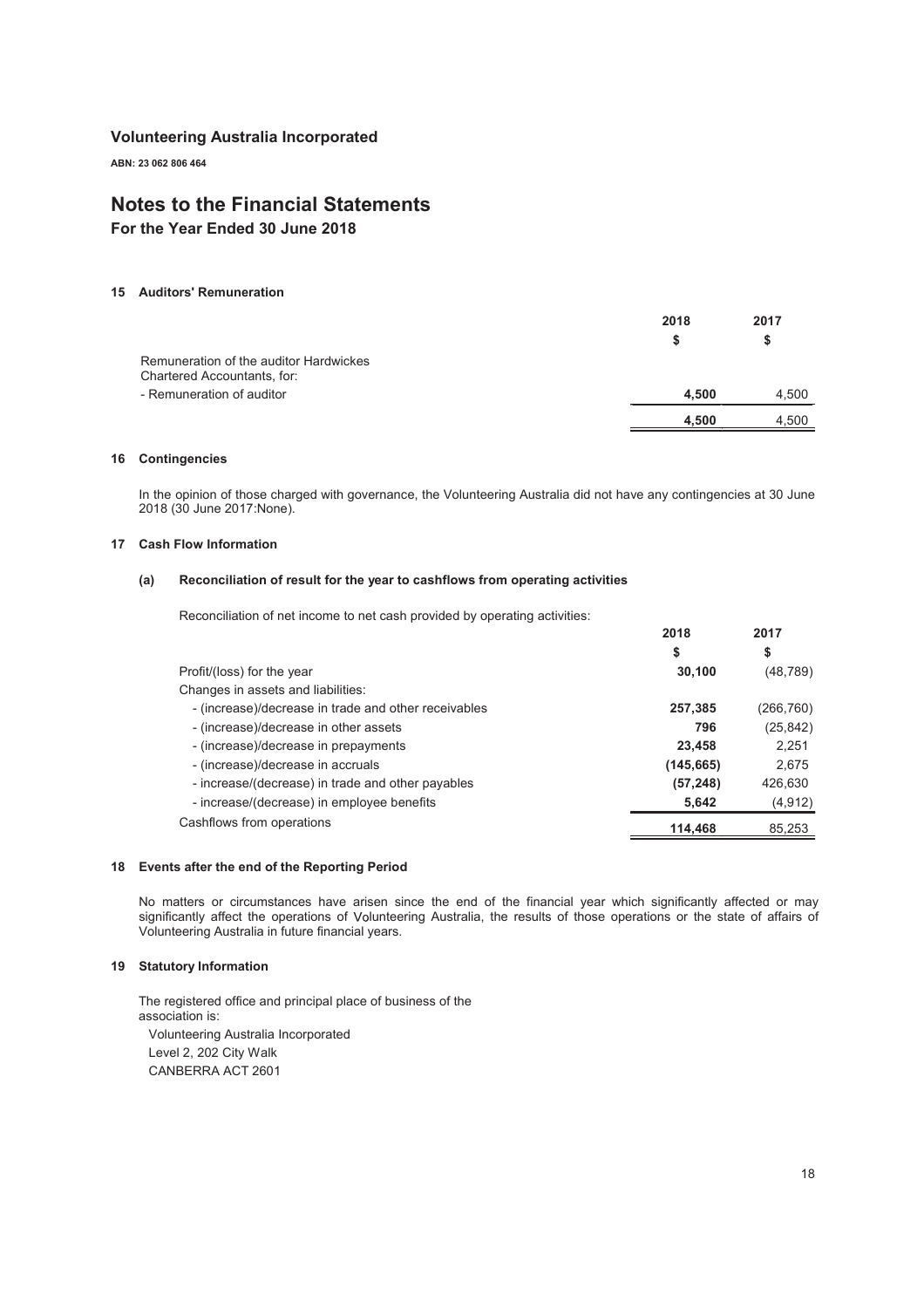ABN: 23 062 806 464

## Notes to the Financial Statements

For the Year Ended 30 June 2018

#### 15 Auditors' Remuneration

|                                                                       | 2018  | 2017  |
|-----------------------------------------------------------------------|-------|-------|
|                                                                       | S     | S     |
| Remuneration of the auditor Hardwickes<br>Chartered Accountants, for: |       |       |
| - Remuneration of auditor                                             | 4.500 | 4,500 |
|                                                                       | 4.500 | 4.500 |
|                                                                       |       |       |

#### 16 Contingencies

In the opinion of those charged with governance, the Volunteering Australia did not have any contingencies at 30 June 2018 (30 June 2017:None).

#### 17 Cash Flow Information

#### (a) Reconciliation of result for the year to cashflows from operating activities

Reconciliation of net income to net cash provided by operating activities:

|            | 20 I I     |
|------------|------------|
| \$         | \$         |
| 30,100     | (48, 789)  |
|            |            |
| 257,385    | (266, 760) |
| 796        | (25, 842)  |
| 23,458     | 2,251      |
| (145, 665) | 2,675      |
| (57, 248)  | 426,630    |
| 5,642      | (4, 912)   |
| 114.468    | 85,253     |
|            | 2010       |

2018

 $2047$ 

#### 18 Events after the end of the Reporting Period

No matters or circumstances have arisen since the end of the financial year which significantly affected or may significantly affect the operations of Volunteering Australia, the results of those operations or the state of affairs of Volunteering Australia in future financial years.

#### 19 Statutory Information

The registered office and principal place of business of the association is: Volunteering Australia Incorporated Level 2, 202 City Walk CANBERRA ACT 2601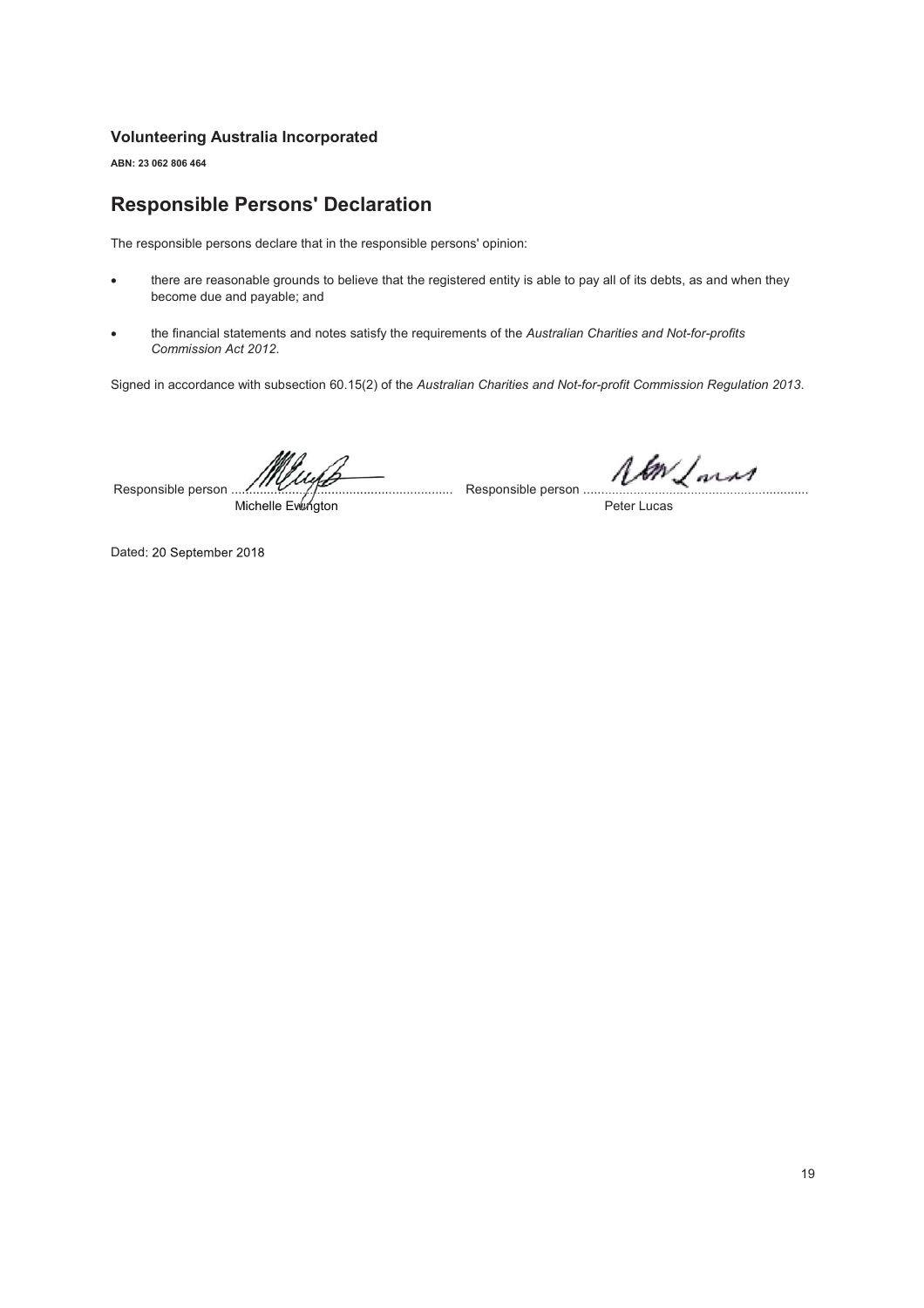ABN: 23 062 806 464

## Responsible Persons' Declaration

The responsible persons declare that in the responsible persons' opinion:

- there are reasonable grounds to believe that the registered entity is able to pay all of its debts, as and when they become due and payable; and
- x the financial statements and notes satisfy the requirements of the *Australian Charities and Not-for-profits Commission Act 2012*.

Signed in accordance with subsection 60.15(2) of the *Australian Charities and Not-for-profit Commission Regulation 2013*.

Responsible person .............................................................. Responsible person ............................................................... .........................................

Michelle Evlü⁄ngton

Peter Lucas

Dated: 20 September 2018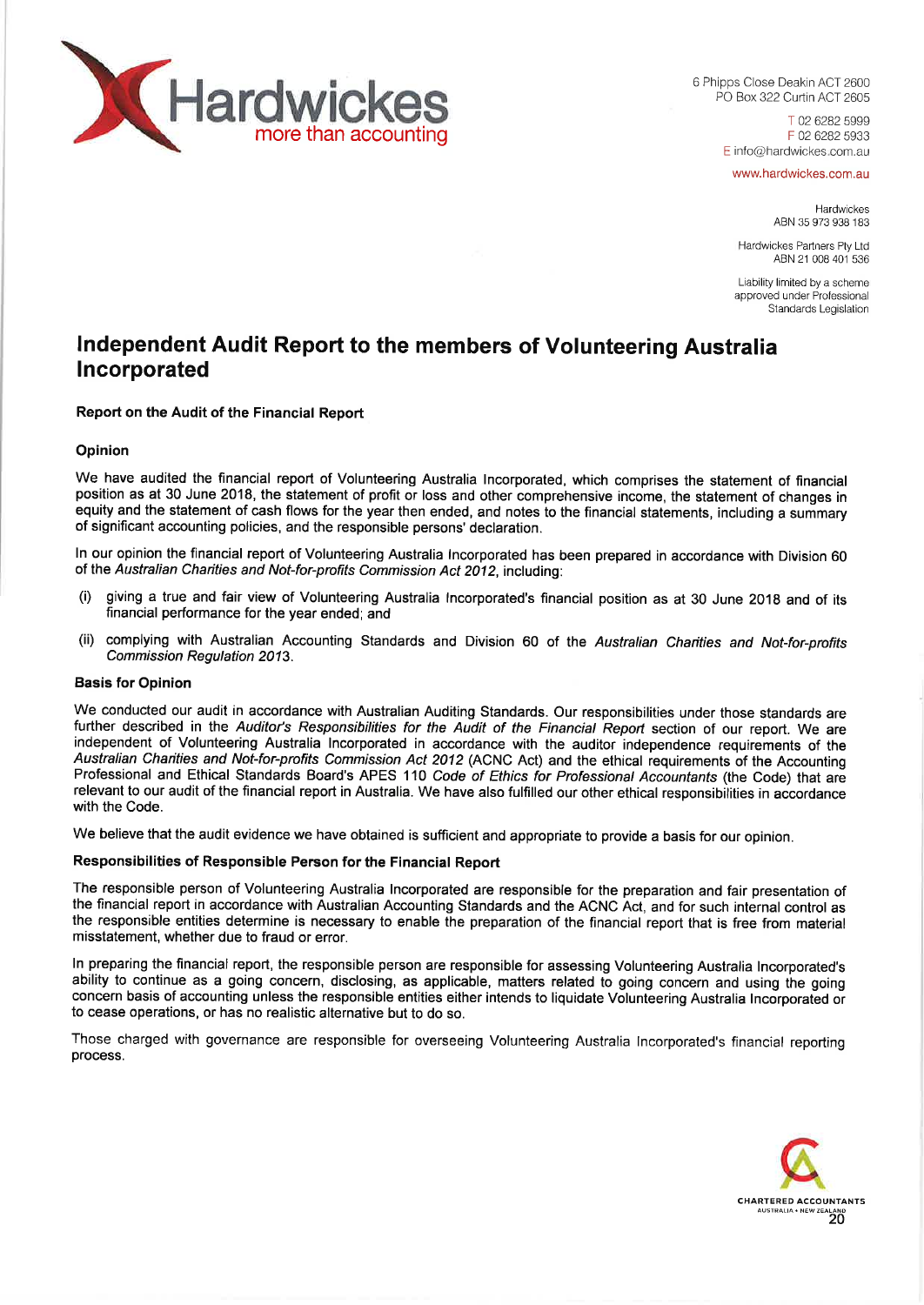

6 Phipps Close Deakin ACT 2600 PO Box 322 Curtin ACT 2605

> T 02 6282 5999 F 02 6282 5933 E info@hardwickes.com.au

www.hardwickes.com.au

Hardwickes ABN 35 973 938 183

Hardwickes Partners Pty Ltd ABN 21 008 401 536

Liability limited by a scheme approved under Professional Standards Legislation

## **Independent Audit Report to the members of Volunteering Australia Incorporated**

**Report on the Audit of the Financial Report**

#### **Opinion**

We have audited the financial report of Volunteering Australia Incorporated, which comprises the statement of financial position as at 30 June 2018, the statement of profit or loss and other comprehensive income, the statement of changes in equity and the statement of cash flows for the year then ended, and notes to the financial statements, including a summary of significant accounting policies, and the responsible persons' declaration.

In our opinion the financial report of Volunteering Australia Incorporated has been prepared in accordance with Division 60 of the *Australian Charities and Not-for-profits Commission Act 2012,* including:

- (i) giving a true and fair view of Volunteering Australia Incorporated's financial position as at 30 June 2018 and of its financial performance for the year ended; and
- (ii) complying with Australian Accounting Standards and Division 60 of the *Australian Charities and Not-for-profits Commission Regulation 2013.*

### **Basis for Opinion**

We conducted our audit in accordance with Australian Auditing Standards. Our responsibilities under those standards are further described in the *Auditor's Responsibilities for the Audit of the Financial Report* section of our report. We are independent of Volunteering Australia Incorporated in accordance with the auditor independence requirements of the *Australian Charities and Not-for-profits Commission Act 2012* (ACNC Act) and the ethical requirements of the Accounting Professional and Ethical Standards Board's APES 110 *Code of Ethics for Professional Accountants* (the Code) that are relevant to our audit of the financial report in Australia. We have also fulfilled our other ethical responsibilities in accordance with the Code.

We believe that the audit evidence we have obtained is sufficient and appropriate to provide a basis for our opinion.

## **Responsibilities of Responsible Person for the Financial Report**

The responsible person of Volunteering Australia Incorporated are responsible for the preparation and fair presentation of the financial report in accordance with Australian Accounting Standards and the ACNC Act, and for such internal control as the responsible entities determine is necessary to enable the preparation of the financial report that is free from material misstatement, whether due to fraud or error.

In preparing the financial report, the responsible person are responsible for assessing Volunteering Australia Incorporated's ability to continue as a going concern, disclosing, as applicable, matters related to going concern and using the going concern basis of accounting unless the responsible entities either intends to liquidate Volunteering Australia Incorporated or to cease operations, or has no realistic alternative but to do so.

Those charged with governance are responsible for overseeing Volunteering Australia Incorporated's financial reporting process.